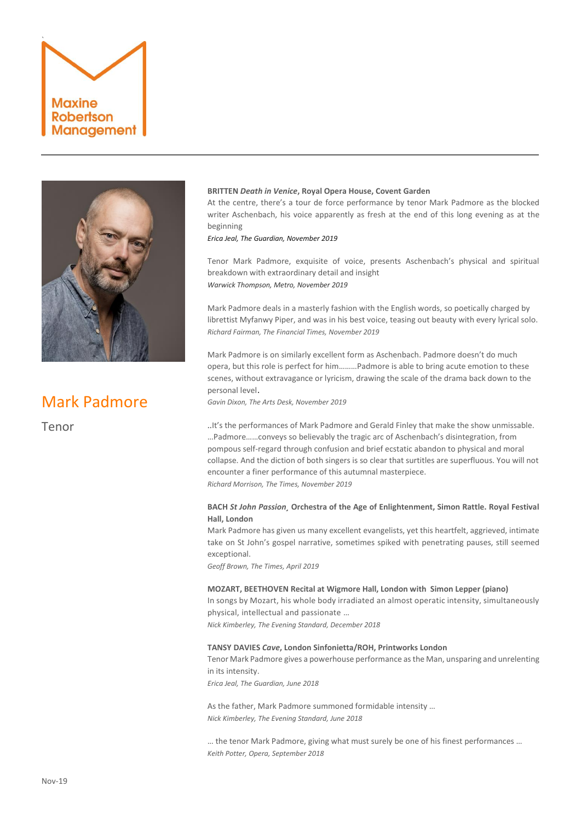



# Mark Padmore

Tenor

### **BRITTEN** *Death in Venice***, Royal Opera House, Covent Garden**

At the centre, there's a tour de force performance by tenor Mark Padmore as the blocked writer Aschenbach, his voice apparently as fresh at the end of this long evening as at the beginning

*Erica Jeal, The Guardian, November 2019*

Tenor Mark Padmore, exquisite of voice, presents Aschenbach's physical and spiritual breakdown with extraordinary detail and insight *Warwick Thompson, Metro, November 2019*

Mark Padmore deals in a masterly fashion with the English words, so poetically charged by librettist Myfanwy Piper, and was in his best voice, teasing out beauty with every lyrical solo. *Richard Fairman, The Financial Times, November 2019*

Mark Padmore is on similarly excellent form as Aschenbach. Padmore doesn't do much opera, but this role is perfect for him………Padmore is able to bring acute emotion to these scenes, without extravagance or lyricism, drawing the scale of the drama back down to the personal level.

*Gavin Dixon, The Arts Desk, November 2019*

..It's the performances of Mark Padmore and Gerald Finley that make the show unmissable. …Padmore……conveys so believably the tragic arc of Aschenbach's disintegration, from pompous self-regard through confusion and brief ecstatic abandon to physical and moral collapse. And the diction of both singers is so clear that surtitles are superfluous. You will not encounter a finer performance of this autumnal masterpiece. *Richard Morrison, The Times, November 2019*

# **BACH** *St John Passion¸* **Orchestra of the Age of Enlightenment, Simon Rattle. Royal Festival Hall, London**

Mark Padmore has given us many excellent evangelists, yet this heartfelt, aggrieved, intimate take on St John's gospel narrative, sometimes spiked with penetrating pauses, still seemed exceptional.

*Geoff Brown, The Times, April 2019*

### **MOZART, BEETHOVEN Recital at Wigmore Hall, London with Simon Lepper (piano)**

In songs b[y Mozart,](https://www.standard.co.uk/go/london/arts/womens-history-month-why-forgotten-soprano-nancy-storace-was-more-than-mozarts-muse-a3781816.html) his whole body irradiated an almost operatic intensity, simultaneously physical, intellectual and passionate …

*Nick Kimberley, The Evening Standard, December 2018*

# **TANSY DAVIES** *Cave***, London Sinfonietta/ROH, Printworks London**

Teno[r Mark Padmore](https://www.theguardian.com/music/2017/apr/07/mark-padmore-a-passion-for-bach-why-the-st-john-belongs-on-the-live-stage-at-easter) gives a powerhouse performance as the Man, unsparing and unrelenting in its intensity.

*Erica Jeal, The Guardian, June 2018*

As the father, Mark Padmore summoned formidable intensity … *Nick Kimberley, The Evening Standard, June 2018*

… the tenor Mark Padmore, giving what must surely be one of his finest performances … *Keith Potter, Opera, September 2018*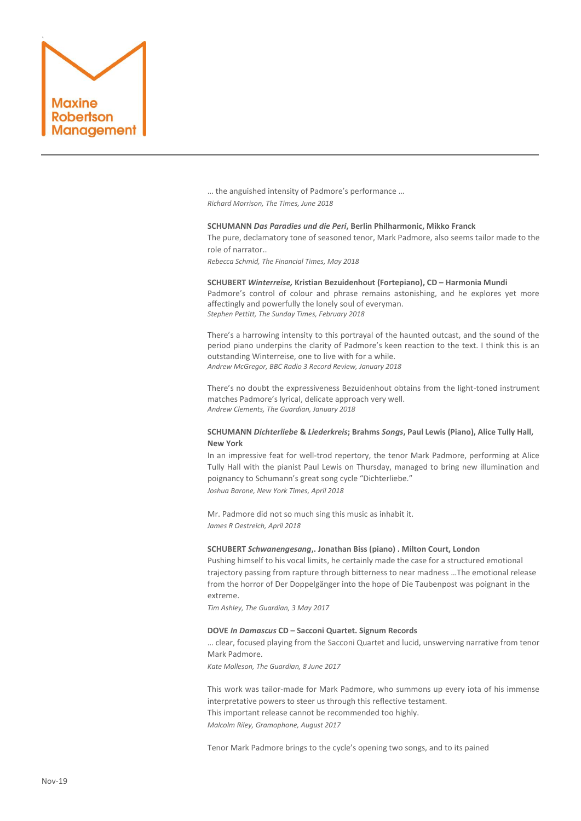

… the anguished intensity of Padmore's performance … *Richard Morrison, The Times, June 2018*

### **SCHUMANN** *Das Paradies und die Peri***, Berlin Philharmonic, Mikko Franck**

The pure, declamatory tone of seasoned tenor, Mark Padmore, also seems tailor made to the role of narrator..

*Rebecca Schmid, The Financial Times, May 2018*

**SCHUBERT** *Winterreise,* **Kristian Bezuidenhout (Fortepiano), CD – Harmonia Mundi** Padmore's control of colour and phrase remains astonishing, and he explores yet more affectingly and powerfully the lonely soul of everyman. *Stephen Pettitt, The Sunday Times, February 2018*

There's a harrowing intensity to this portrayal of the haunted outcast, and the sound of the period piano underpins the clarity of Padmore's keen reaction to the text. I think this is an outstanding Winterreise, one to live with for a while. *Andrew McGregor, BBC Radio 3 Record Review, January 2018*

There's no doubt the expressiveness Bezuidenhout obtains from the light-toned instrument matches Padmore's lyrical, delicate approach very well. *Andrew Clements, The Guardian, January 2018*

# **SCHUMANN** *Dichterliebe* **&** *Liederkreis***; Brahms** *Songs***, Paul Lewis (Piano), Alice Tully Hall, New York**

In an impressive feat for well-trod repertory, the tenor Mark Padmore, performing at Alice Tully Hall with the pianist Paul Lewis on Thursday, managed to bring new illumination and poignancy to Schumann's great song cycle "Dichterliebe." *Joshua Barone, New York Times, April 2018*

Mr. Padmore did not so much sing this music as inhabit it. *James R Oestreich, April 2018*

# **SCHUBERT** *Schwanengesang***,. Jonathan Biss (piano) . Milton Court, London**

Pushing himself to his vocal limits, he certainly made the case for a structured emotional trajectory passing from rapture through bitterness to near madness …The emotional release from the horror of Der Doppelgänger into the hope of Die Taubenpost was poignant in the extreme.

*Tim Ashley, The Guardian, 3 May 2017*

#### **DOVE** *In Damascus* **CD – Sacconi Quartet. Signum Records**

… clear, focused playing from the Sacconi Quartet and lucid, unswerving narrative from tenor Mark Padmore.

*Kate Molleson, The Guardian, 8 June 2017*

This work was tailor-made for Mark Padmore, who summons up every iota of his immense interpretative powers to steer us through this reflective testament. This important release cannot be recommended too highly. *Malcolm Riley, Gramophone, August 2017*

Tenor Mark Padmore brings to the cycle's opening two songs, and to its pained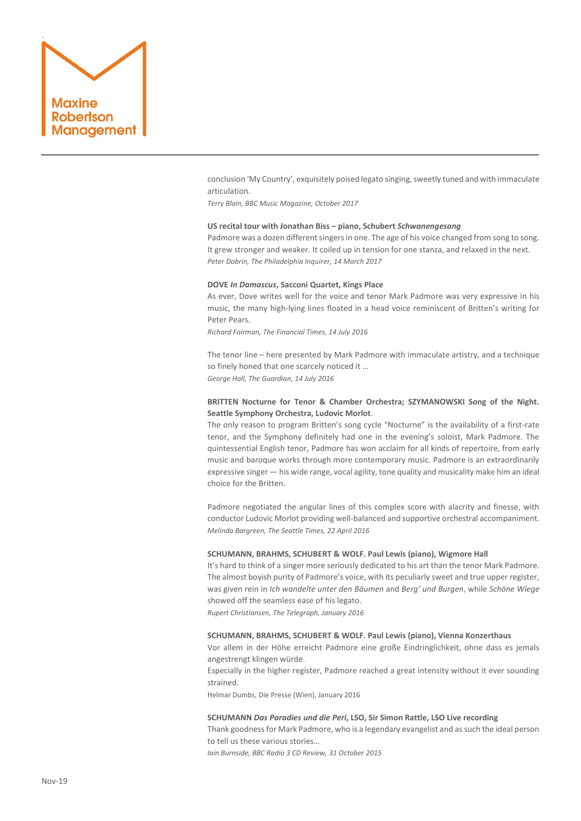

conclusion 'My Country', exquisitely poised legato singing, sweetly tuned and with immaculate articulation.

*Terry Blain, BBC Music Magazine, October 2017*

### **US recital tour with Jonathan Biss – piano, Schubert** *Schwanengesang*

Padmore was a dozen different singers in one. The age of his voice changed from song to song. It grew stronger and weaker. It coiled up in tension for one stanza, and relaxed in the next. *Peter Dobrin, The Philadelphia Inquirer, 14 March 2017*

### **DOVE** *In Damascus***, Sacconi Quartet, Kings Place**

As ever, Dove writes well for the voice and tenor Mark Padmore was very expressive in his music, the many high-lying lines floated in a head voice reminiscent of Britten's writing for Peter Pears.

*Richard Fairman, The Financial Times, 14 July 2016*

The tenor line – here presented b[y Mark Padmore](http://www.markpadmore.com/) with immaculate artistry, and a technique so finely honed that one scarcely noticed it … *George Hall, The Guardian, 14 July 2016*

# **BRITTEN Nocturne for Tenor & Chamber Orchestra; SZYMANOWSKI Song of the Night. Seattle Symphony Orchestra, Ludovic Morlot**.

The only reason to program Britten's song cycle "Nocturne" is the availability of a first-rate tenor, and the Symphony definitely had one in the evening's soloist, Mark Padmore. The quintessential English tenor, Padmore has won acclaim for all kinds of repertoire, from early music and baroque works through more contemporary music. Padmore is an extraordinarily expressive singer — his wide range, vocal agility, tone quality and musicality make him an ideal choice for the Britten.

Padmore negotiated the angular lines of this complex score with alacrity and finesse, with conductor Ludovic Morlot providing well-balanced and supportive orchestral accompaniment. *Melinda Bargreen, The Seattle Times, 22 April 2016*

# **SCHUMANN, BRAHMS, SCHUBERT & WOLF. Paul Lewis (piano), Wigmore Hall**

It's hard to think of a singer more seriously dedicated to his art than the tenor Mark Padmore. The almost boyish purity of Padmore's voice, with its peculiarly sweet and true upper register, was given rein in *Ich wandelte unter den Bäumen* and *Berg' und Burgen*, while *Schöne Wiege* showed off the seamless ease of his legato.

*Rupert Christiansen, The Telegraph, January 2016*

# **SCHUMANN, BRAHMS, SCHUBERT & WOLF. Paul Lewis (piano), Vienna Konzerthaus**

Vor allem in der Höhe erreicht Padmore eine große Eindringlichkeit, ohne dass es jemals angestrengt klingen würde.

Especially in the higher register, Padmore reached a great intensity without it ever sounding strained.

Helmar Dumbs, Die Presse (Wien), January 2016

### **SCHUMANN** *Das Paradies und die Peri***, LSO, Sir Simon Rattle, LSO Live recording**

Thank goodness for Mark Padmore, who is a legendary evangelist and as such the ideal person to tell us these various stories…

*Iain Burnside, BBC Radio 3 CD Review, 31 October 2015*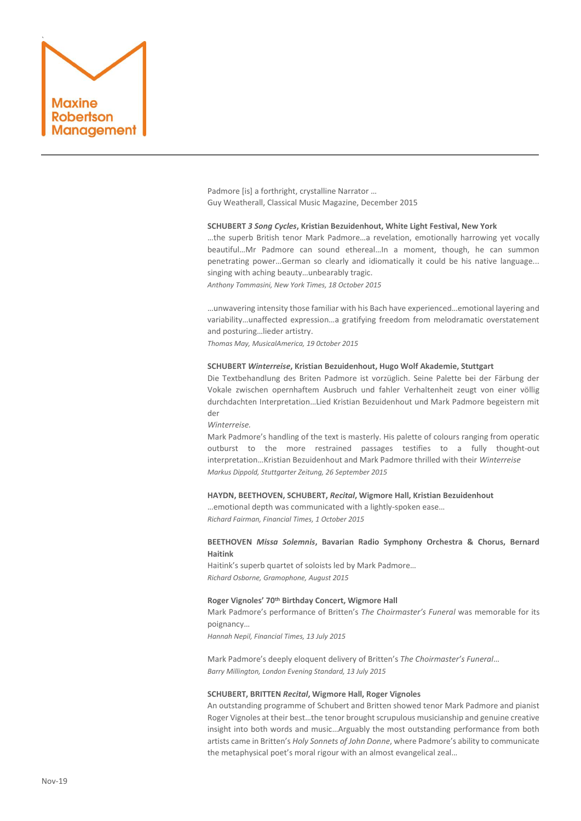

Padmore [is] a forthright, crystalline Narrator … Guy Weatherall, Classical Music Magazine, December 2015

### **SCHUBERT** *3 Song Cycles***, Kristian Bezuidenhout, White Light Festival, New York**

…the superb British tenor Mark Padmore…a revelation, emotionally harrowing yet vocally beautiful…Mr Padmore can sound ethereal…In a moment, though, he can summon penetrating power…German so clearly and idiomatically it could be his native language... singing with aching beauty…unbearably tragic.

*Anthony Tommasini, New York Times, 18 October 2015*

…unwavering intensity those familiar with his Bach have experienced…emotional layering and variability…unaffected expression…a gratifying freedom from melodramatic overstatement and posturing…lieder artistry.

*Thomas May, MusicalAmerica, 19 0ctober 2015*

### **SCHUBERT** *Winterreise***, Kristian Bezuidenhout, Hugo Wolf Akademie, Stuttgart**

Die Textbehandlung des Briten Padmore ist vorzüglich. Seine Palette bei der Färbung der Vokale zwischen opernhaftem Ausbruch und fahler Verhaltenheit zeugt von einer völlig durchdachten Interpretation…Lied Kristian Bezuidenhout und Mark Padmore begeistern mit der

### *Winterreise.*

Mark Padmore's handling of the text is masterly. His palette of colours ranging from operatic outburst to the more restrained passages testifies to a fully thought-out interpretation…Kristian Bezuidenhout and Mark Padmore thrilled with their *Winterreise Markus Dippold, Stuttgarter Zeitung, 26 September 2015*

# **HAYDN, BEETHOVEN, SCHUBERT,** *Recital***, Wigmore Hall, Kristian Bezuidenhout**

…emotional depth was communicated with a lightly-spoken ease… *Richard Fairman, Financial Times, 1 October 2015*

# **BEETHOVEN** *Missa Solemnis***, Bavarian Radio Symphony Orchestra & Chorus, Bernard Haitink**

Haitink's superb quartet of soloists led by Mark Padmore… *Richard Osborne, Gramophone, August 2015*

# **Roger Vignoles' 70th Birthday Concert, Wigmore Hall**

Mark Padmore's performance of Britten's *The Choirmaster's Funeral* was memorable for its poignancy…

*Hannah Nepil, Financial Times, 13 July 2015*

Mark Padmore's deeply eloquent delivery of Britten's *The Choirmaster's Funeral*… *Barry Millington, London Evening Standard, 13 July 2015*

### **SCHUBERT, BRITTEN** *Recital***, Wigmore Hall, Roger Vignoles**

An outstanding programme of Schubert and Britten showed tenor Mark Padmore and pianist Roger Vignoles at their best…the tenor brought scrupulous musicianship and genuine creative insight into both words and music…Arguably the most outstanding performance from both artists came in Britten's *Holy Sonnets of John Donne*, where Padmore's ability to communicate the metaphysical poet's moral rigour with an almost evangelical zeal…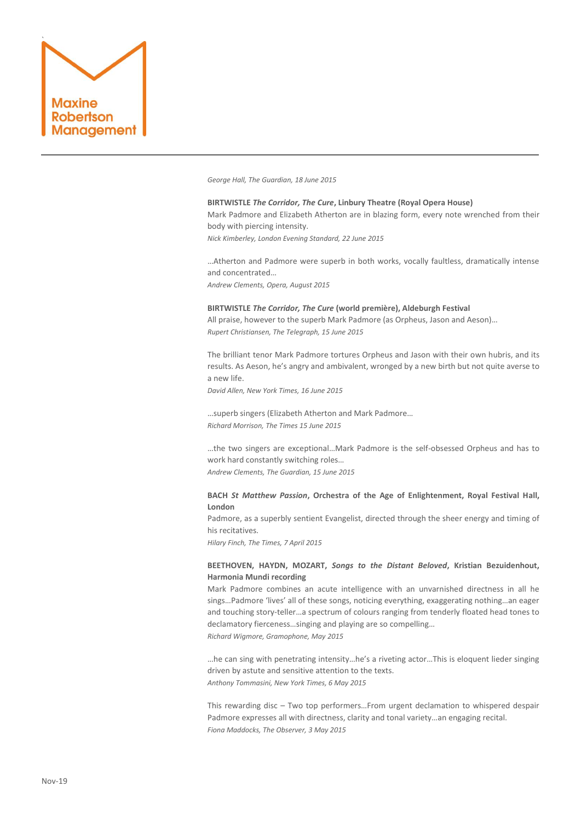

*George Hall, The Guardian, 18 June 2015*

# **BIRTWISTLE** *The Corridor, The Cure***, Linbury Theatre (Royal Opera House)** Mark Padmore and Elizabeth Atherton are in blazing form, every note wrenched from their body with piercing intensity. *Nick Kimberley, London Evening Standard, 22 June 2015*

…Atherton and Padmore were superb in both works, vocally faultless, dramatically intense and concentrated… *Andrew Clements, Opera, August 2015*

# **BIRTWISTLE** *The Corridor, The Cure* **(world première), Aldeburgh Festival**

All praise, however to the superb Mark Padmore (as Orpheus, Jason and Aeson)… *Rupert Christiansen, The Telegraph, 15 June 2015*

The brilliant tenor Mark Padmore tortures Orpheus and Jason with their own hubris, and its results. As Aeson, he's angry and ambivalent, wronged by a new birth but not quite averse to a new life.

*David Allen, New York Times, 16 June 2015*

…superb singers (Elizabeth Atherton and Mark Padmore… *Richard Morrison, The Times 15 June 2015*

…the two singers are exceptional…Mark Padmore is the self-obsessed Orpheus and has to work hard constantly switching roles…

*Andrew Clements, The Guardian, 15 June 2015*

# **BACH** *St Matthew Passion***, Orchestra of the Age of Enlightenment, Royal Festival Hall, London**

Padmore, as a superbly sentient Evangelist, directed through the sheer energy and timing of his recitatives.

*Hilary Finch, The Times, 7 April 2015*

# **BEETHOVEN, HAYDN, MOZART,** *Songs to the Distant Beloved***, Kristian Bezuidenhout, Harmonia Mundi recording**

Mark Padmore combines an acute intelligence with an unvarnished directness in all he sings…Padmore 'lives' all of these songs, noticing everything, exaggerating nothing…an eager and touching story-teller…a spectrum of colours ranging from tenderly floated head tones to declamatory fierceness…singing and playing are so compelling…

*Richard Wigmore, Gramophone, May 2015*

…he can sing with penetrating intensity…he's a riveting actor…This is eloquent lieder singing driven by astute and sensitive attention to the texts. *Anthony Tommasini, New York Times, 6 May 2015*

[This rewarding disc](http://store.harmoniamundi.com/an-die-ferne-geliebte.html#desc) – Two top performers…From urgent declamation to whispered despair [Padmore](http://www.markpadmore.com/) expresses all with directness, clarity and tonal variety…an engaging recital. *Fiona Maddocks, The Observer, 3 May 2015*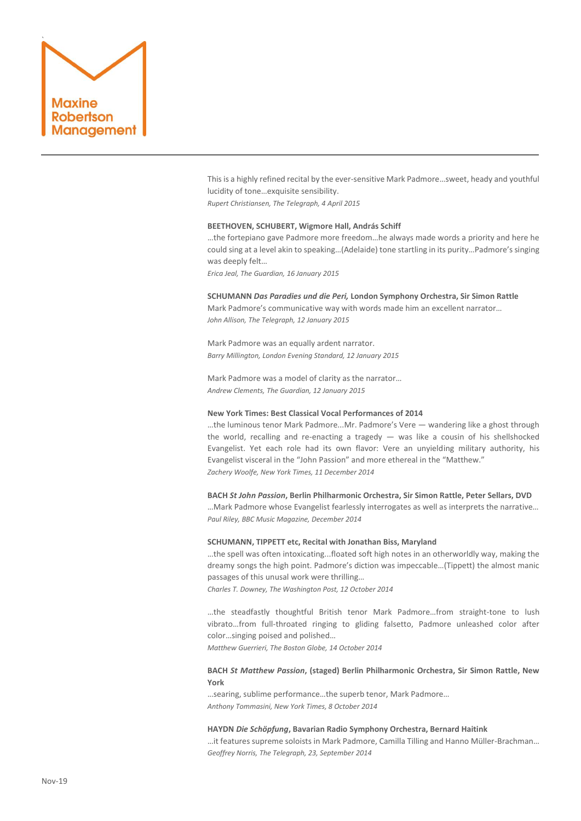

This is a highly refined recital by the ever-sensitive Mark Padmore…sweet, heady and youthful lucidity of tone…exquisite sensibility.

*Rupert Christiansen, The Telegraph, 4 April 2015*

### **BEETHOVEN, SCHUBERT, Wigmore Hall, András Schiff**

…the fortepiano gave Padmore more freedom…he always made words a priority and here he could sing at a level akin to speaking…(Adelaide) tone startling in its purity…Padmore's singing was deeply felt…

*Erica Jeal, The Guardian, 16 January 2015*

# **SCHUMANN** *Das Paradies und die Peri,* **London Symphony Orchestra, Sir Simon Rattle**

Mark Padmore's communicative way with words made him an excellent narrator… *John Allison, The Telegraph, 12 January 2015*

Mark Padmore was an equally ardent narrator. *Barry Millington, London Evening Standard, 12 January 2015*

Mark Padmore was a model of clarity as the narrator… *Andrew Clements, The Guardian, 12 January 2015*

# **New York Times: Best Classical Vocal Performances of 2014**

…the luminous tenor Mark Padmore...Mr. Padmore's Vere — wandering like a ghost through the world, recalling and re-enacting a tragedy  $-$  was like a cousin of his shellshocked Evangelist. Yet each role had its own flavor: Vere an unyielding military authority, his Evangelist visceral in the "John Passion" and more ethereal in the "Matthew." *Zachery Woolfe, New York Times, 11 December 2014*

# **BACH** *St John Passion***, Berlin Philharmonic Orchestra, Sir Simon Rattle, Peter Sellars, DVD**

…Mark Padmore whose Evangelist fearlessly interrogates as well as interprets the narrative… *Paul Riley, BBC Music Magazine, December 2014*

# **SCHUMANN, TIPPETT etc, Recital with Jonathan Biss, Maryland**

…the spell was often intoxicating...floated soft high notes in an otherworldly way, making the dreamy songs the high point. Padmore's diction was impeccable…(Tippett) the almost manic passages of this unusal work were thrilling…

*Charles T. Downey, The Washington Post, 12 October 2014*

…the steadfastly thoughtful British tenor Mark Padmore…from straight-tone to lush vibrato…from full-throated ringing to gliding falsetto, Padmore unleashed color after color…singing poised and polished…

*Matthew Guerrieri, The Boston Globe, 14 October 2014*

# **BACH** *St Matthew Passion***, (staged) Berlin Philharmonic Orchestra, Sir Simon Rattle, New York**

…searing, sublime performance…the superb tenor, Mark Padmore… *Anthony Tommasini, New York Times, 8 October 2014*

# **HAYDN** *Die Schöpfung***, Bavarian Radio Symphony Orchestra, Bernard Haitink**

…it features supreme soloists in Mark Padmore, Camilla Tilling and Hanno Müller-Brachman… *Geoffrey Norris, The Telegraph, 23, September 2014*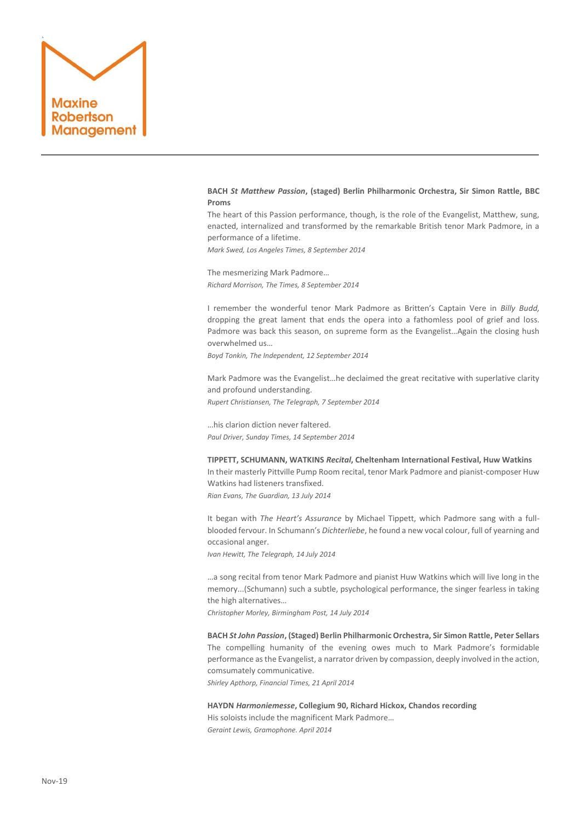

# **BACH** *St Matthew Passion***, (staged) Berlin Philharmonic Orchestra, Sir Simon Rattle, BBC Proms**

The heart of this Passion performance, though, is the role of the Evangelist, Matthew, sung, enacted, internalized and transformed by the remarkable British tenor Mark Padmore, in a performance of a lifetime.

*Mark Swed, Los Angeles Times, 8 September 2014*

The mesmerizing Mark Padmore… *Richard Morrison, The Times, 8 September 2014*

I remember the wonderful tenor Mark Padmore as Britten's Captain Vere in *Billy Budd,*  dropping the great lament that ends the opera into a fathomless pool of grief and loss. Padmore was back this season, on supreme form as the Evangelist…Again the closing hush overwhelmed us…

*Boyd Tonkin, The Independent, 12 September 2014*

Mark Padmore was the Evangelist…he declaimed the great recitative with superlative clarity and profound understanding.

*Rupert Christiansen, The Telegraph, 7 September 2014*

…his clarion diction never faltered. *Paul Driver, Sunday Times, 14 September 2014*

**TIPPETT, SCHUMANN, WATKINS** *Recital***, Cheltenham International Festival, Huw Watkins** In their masterly Pittville Pump Room recital, tenor Mark Padmore and pianist-composer Huw Watkins had listeners transfixed. *Rian Evans, The Guardian, 13 July 2014*

It began with *The Heart's Assurance* by Michael Tippett, which Padmore sang with a fullblooded fervour. In Schumann's *Dichterliebe*, he found a new vocal colour, full of yearning and occasional anger.

*Ivan Hewitt, The Telegraph, 14 July 2014*

…a song recital from tenor Mark Padmore and pianist Huw Watkins which will live long in the memory...(Schumann) such a subtle, psychological performance, the singer fearless in taking the high alternatives…

*Christopher Morley, Birmingham Post, 14 July 2014*

**BACH** *St John Passion***, (Staged) Berlin Philharmonic Orchestra, Sir Simon Rattle, Peter Sellars** The compelling humanity of the evening owes much to Mark Padmore's formidable performance as the Evangelist, a narrator driven by compassion, deeply involved in the action, comsumately communicative.

*Shirley Apthorp, Financial Times, 21 April 2014*

**HAYDN** *Harmoniemesse***, Collegium 90, Richard Hickox, Chandos recording** His soloists include the magnificent Mark Padmore… *Geraint Lewis, Gramophone. April 2014*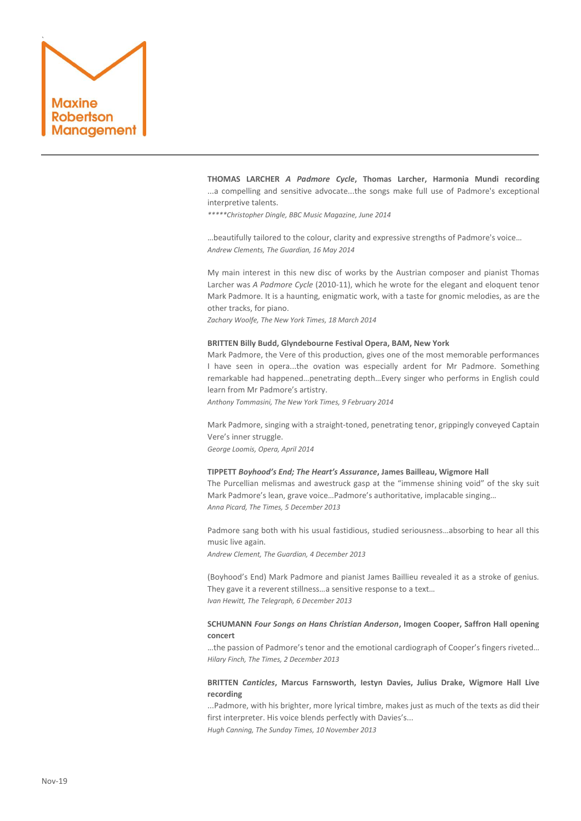

**THOMAS LARCHER** *A Padmore Cycle***, Thomas Larcher, Harmonia Mundi recording** ...a compelling and sensitive advocate...the songs make full use of Padmore's exceptional interpretive talents.

*\*\*\*\*\*Christopher Dingle, BBC Music Magazine, June 2014*

…beautifully tailored to the colour, clarity and expressive strengths of Padmore's voice… *Andrew Clements, The Guardian, 16 May 2014*

My main interest in this new disc of works by the Austrian composer and pianist Thomas Larcher was *A Padmore Cycle* (2010-11), which he wrote for the elegant and eloquent tenor Mark Padmore. It is a haunting, enigmatic work, with a taste for gnomic melodies, as are the other tracks, for piano.

*Zachary Woolfe, The New York Times, 18 March 2014*

### **BRITTEN Billy Budd, Glyndebourne Festival Opera, BAM, New York**

Mark Padmore, the Vere of this production, gives one of the most memorable performances I have seen in opera...the ovation was especially ardent for Mr Padmore. Something remarkable had happened…penetrating depth…Every singer who performs in English could learn from Mr Padmore's artistry.

*Anthony Tommasini, The New York Times, 9 February 2014*

Mark Padmore, singing with a straight-toned, penetrating tenor, grippingly conveyed Captain Vere's inner struggle.

*George Loomis, Opera, April 2014*

### **TIPPETT** *Boyhood's End; The Heart's Assurance***, James Bailleau, Wigmore Hall**

The Purcellian melismas and awestruck gasp at the "immense shining void" of the sky suit Mark Padmore's lean, grave voice…Padmore's authoritative, implacable singing… *Anna Picard, The Times, 5 December 2013*

Padmore sang both with his usual fastidious, studied seriousness…absorbing to hear all this music live again.

*Andrew Clement, The Guardian, 4 December 2013*

(Boyhood's End) Mark Padmore and pianist James Baillieu revealed it as a stroke of genius. They gave it a reverent stillness…a sensitive response to a text… *Ivan Hewitt, The Telegraph, 6 December 2013*

# **SCHUMANN** *Four Songs on Hans Christian Anderson***, Imogen Cooper, Saffron Hall opening concert**

…the passion of Padmore's tenor and the emotional cardiograph of Cooper's fingers riveted… *Hilary Finch, The Times, 2 December 2013*

# **BRITTEN** *Canticles***, Marcus Farnsworth, Iestyn Davies, Julius Drake, Wigmore Hall Live recording**

...Padmore, with his brighter, more lyrical timbre, makes just as much of the texts as did their first interpreter. His voice blends perfectly with Davies's... *Hugh Canning, The Sunday Times, 10 November 2013*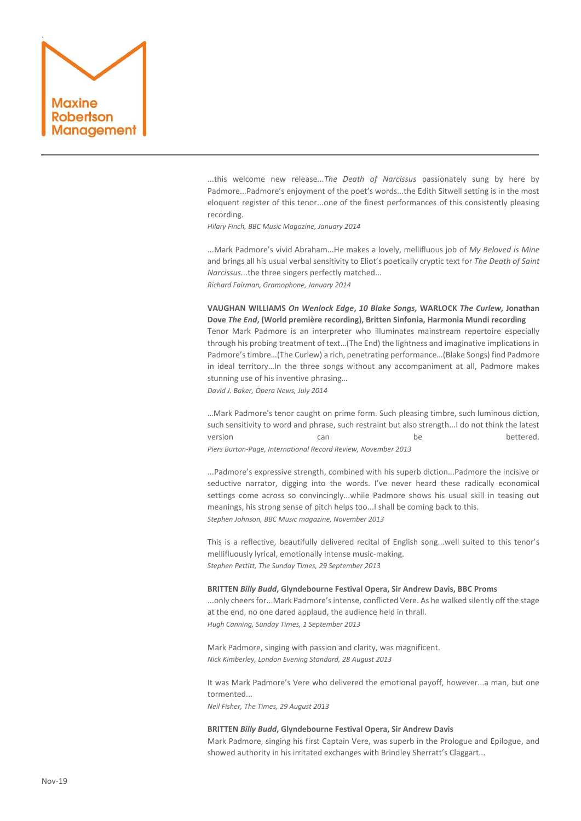

...this welcome new release...*The Death of Narcissus* passionately sung by here by Padmore...Padmore's enjoyment of the poet's words...the Edith Sitwell setting is in the most eloquent register of this tenor...one of the finest performances of this consistently pleasing recording.

*Hilary Finch, BBC Music Magazine, January 2014*

...Mark Padmore's vivid Abraham...He makes a lovely, mellifluous job of *My Beloved is Mine* and brings all his usual verbal sensitivity to Eliot's poetically cryptic text for *The Death of Saint Narcissus...*the three singers perfectly matched... *Richard Fairman, Gramophone, January 2014*

**VAUGHAN WILLIAMS** *On Wenlock Edge***,** *10 Blake Songs,* **WARLOCK** *The Curlew,* **Jonathan Dove** *The End***, (World première recording), Britten Sinfonia, Harmonia Mundi recording** Tenor Mark Padmore is an interpreter who illuminates mainstream repertoire especially through his probing treatment of text…(The End) the lightness and imaginative implications in Padmore's timbre…(The Curlew) a rich, penetrating performance…(Blake Songs) find Padmore in ideal territory…In the three songs without any accompaniment at all, Padmore makes stunning use of his inventive phrasing…

*David J. Baker, Opera News, July 2014*

…Mark Padmore's tenor caught on prime form. Such pleasing timbre, such luminous diction, such sensitivity to word and phrase, such restraint but also strength...I do not think the latest version and can be be bettered. *Piers Burton-Page, International Record Review, November 2013*

...Padmore's expressive strength, combined with his superb diction...Padmore the incisive or seductive narrator, digging into the words. I've never heard these radically economical settings come across so convincingly...while Padmore shows his usual skill in teasing out meanings, his strong sense of pitch helps too...I shall be coming back to this. *Stephen Johnson, BBC Music magazine, November 2013*

This is a reflective, beautifully delivered recital of English song...well suited to this tenor's mellifluously lyrical, emotionally intense music-making. *Stephen Pettitt, The Sunday Times, 29 September 2013*

### **BRITTEN** *Billy Budd***, Glyndebourne Festival Opera, Sir Andrew Davis, BBC Proms**

...only cheers for...Mark Padmore's intense, conflicted Vere. As he walked silently off the stage at the end, no one dared applaud, the audience held in thrall. *Hugh Canning, Sunday Times, 1 September 2013*

Mark Padmore, singing with passion and clarity, was magnificent. *Nick Kimberley, London Evening Standard, 28 August 2013*

It was Mark Padmore's Vere who delivered the emotional payoff, however...a man, but one tormented...

*Neil Fisher, The Times, 29 August 2013*

# **BRITTEN** *Billy Budd***, Glyndebourne Festival Opera, Sir Andrew Davis**

Mark Padmore, singing his first Captain Vere, was superb in the Prologue and Epilogue, and showed authority in his irritated exchanges with Brindley Sherratt's Claggart...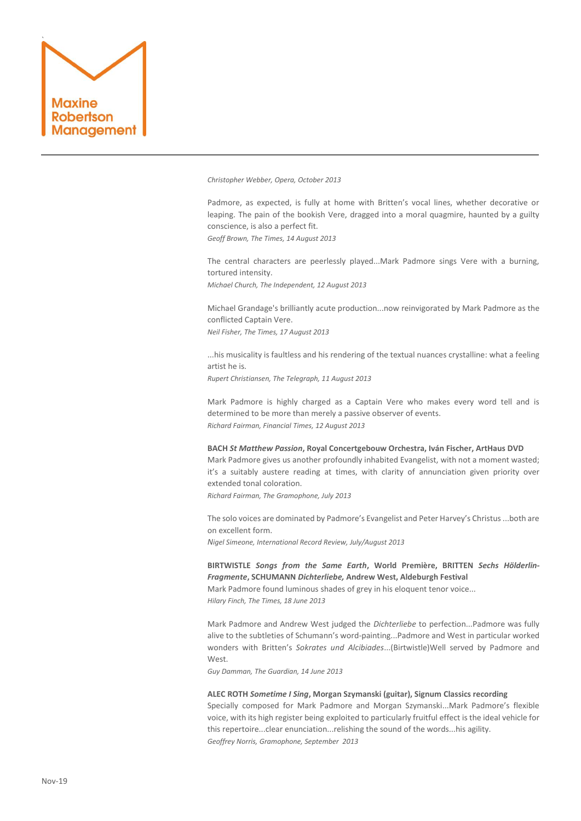

*Christopher Webber, Opera, October 2013*

Padmore, as expected, is fully at home with Britten's vocal lines, whether decorative or leaping. The pain of the bookish Vere, dragged into a moral quagmire, haunted by a guilty conscience, is also a perfect fit. *Geoff Brown, The Times, 14 August 2013*

The central characters are peerlessly played...Mark Padmore sings Vere with a burning, tortured intensity.

*Michael Church, The Independent, 12 August 2013*

Michael Grandage's brilliantly acute production...now reinvigorated by Mark Padmore as the conflicted Captain Vere.

*Neil Fisher, The Times, 17 August 2013*

...his musicality is faultless and his rendering of the textual nuances crystalline: what a feeling artist he is.

*Rupert Christiansen, The Telegraph, 11 August 2013*

Mark Padmore is highly charged as a Captain Vere who makes every word tell and is determined to be more than merely a passive observer of events. *Richard Fairman, Financial Times, 12 August 2013*

**BACH** *St Matthew Passion***, Royal Concertgebouw Orchestra, Iván Fischer, ArtHaus DVD** Mark Padmore gives us another profoundly inhabited Evangelist, with not a moment wasted; it's a suitably austere reading at times, with clarity of annunciation given priority over extended tonal coloration.

*Richard Fairman, The Gramophone, July 2013*

The solo voices are dominated by Padmore's Evangelist and Peter Harvey's Christus ...both are on excellent form.

*Nigel Simeone, International Record Review, July/August 2013*

**BIRTWISTLE** *Songs from the Same Earth***, World Première, BRITTEN** *Sechs Hölderlin-Fragmente***, SCHUMANN** *Dichterliebe,* **Andrew West, Aldeburgh Festival**

Mark Padmore found luminous shades of grey in his eloquent tenor voice...

*Hilary Finch, The Times, 18 June 2013*

Mark Padmore and Andrew West judged the *Dichterliebe* to perfection...Padmore was fully alive to the subtleties of Schumann's word-painting...Padmore and West in particular worked wonders with Britten's *Sokrates und Alcibiades*...(Birtwistle)Well served by Padmore and West.

*Guy Damman, The Guardian, 14 June 2013*

### **ALEC ROTH** *Sometime I Sing***, Morgan Szymanski (guitar), Signum Classics recording**

Specially composed for Mark Padmore and Morgan Szymanski...Mark Padmore's flexible voice, with its high register being exploited to particularly fruitful effect is the ideal vehicle for this repertoire...clear enunciation...relishing the sound of the words...his agility. *Geoffrey Norris, Gramophone, September 2013*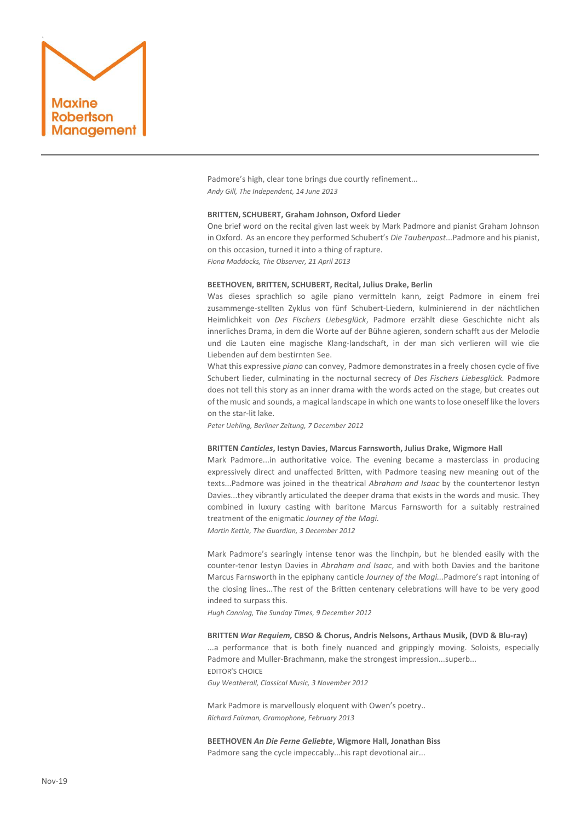

Padmore's high, clear tone brings due courtly refinement... *Andy Gill, The Independent, 14 June 2013*

### **BRITTEN, SCHUBERT, Graham Johnson, Oxford Lieder**

One brief word on the recital given last week by Mark Padmore and pianist Graham Johnson in Oxford. As an encore they performed Schubert's *Die Taubenpost*...Padmore and his pianist, on this occasion, turned it into a thing of rapture.

*Fiona Maddocks, The Observer, 21 April 2013*

# **BEETHOVEN, BRITTEN, SCHUBERT, Recital, Julius Drake, Berlin**

Was dieses sprachlich so agile piano vermitteln kann, zeigt Padmore in einem frei zusammenge-stellten Zyklus von fünf Schubert-Liedern, kulminierend in der nächtlichen Heimlichkeit von *Des Fischers Liebesglück*, Padmore erzählt diese Geschichte nicht als innerliches Drama, in dem die Worte auf der Bühne agieren, sondern schafft aus der Melodie und die Lauten eine magische Klang-landschaft, in der man sich verlieren will wie die Liebenden auf dem bestirnten See.

What this expressive *piano* can convey, Padmore demonstrates in a freely chosen cycle of five Schubert lieder, culminating in the nocturnal secrecy of *Des Fischers Liebesglück.* Padmore does not tell this story as an inner drama with the words acted on the stage, but creates out of the music and sounds, a magical landscape in which one wants to lose oneself like the lovers on the star-lit lake.

*Peter Uehling, Berliner Zeitung, 7 December 2012*

### **BRITTEN** *Canticles***, Iestyn Davies, Marcus Farnsworth, Julius Drake, Wigmore Hall**

Mark Padmore...in authoritative voice. The evening became a masterclass in producing expressively direct and unaffected Britten, with Padmore teasing new meaning out of the texts...Padmore was joined in the theatrical *Abraham and Isaac* by the countertenor [Iestyn](http://www.iestyndavies.com/)  [Davies..](http://www.iestyndavies.com/).they vibrantly articulated the deeper drama that exists in the words and music. They combined in luxury casting with baritone [Marcus Farnsworth](http://marcusfarnsworth.com/) for a suitably restrained treatment of the enigmatic *Journey of the Magi.*

*Martin Kettle, The Guardian, 3 December 2012*

Mark Padmore's searingly intense tenor was the linchpin, but he blended easily with the counter-tenor Iestyn Davies in *Abraham and Isaac*, and with both Davies and the baritone Marcus Farnsworth in the epiphany canticle *Journey of the Magi...*Padmore's rapt intoning of the closing lines...The rest of the Britten centenary celebrations will have to be very good indeed to surpass this.

*Hugh Canning, The Sunday Times, 9 December 2012*

# **BRITTEN** *War Requiem,* **CBSO & Chorus, Andris Nelsons, Arthaus Musik, (DVD & Blu-ray)**

...a performance that is both finely nuanced and grippingly moving. Soloists, especially Padmore and Muller-Brachmann, make the strongest impression...superb... EDITOR'S CHOICE

*Guy Weatherall, Classical Music, 3 November 2012*

Mark Padmore is marvellously eloquent with Owen's poetry.. *Richard Fairman, Gramophone, February 2013*

**BEETHOVEN** *An Die Ferne Geliebte***, Wigmore Hall, Jonathan Biss** Padmore sang the cycle impeccably...his rapt devotional air...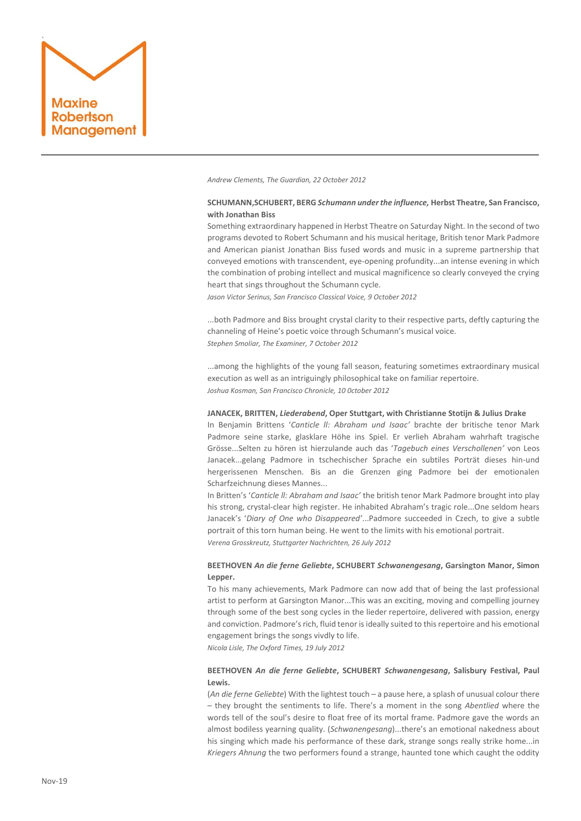

*Andrew Clements, The Guardian, 22 October 2012*

# **SCHUMANN,SCHUBERT, BERG** *Schumann under the influence,* **Herbst Theatre, San Francisco, with Jonathan Biss**

Something extraordinary happened in Herbst Theatre on Saturday Night. In the second of two programs devoted to Robert Schumann and his musical heritage, British tenor Mark Padmore and American pianist Jonathan Biss fused words and music in a supreme partnership that conveyed emotions with transcendent, eye-opening profundity...an intense evening in which the combination of probing intellect and musical magnificence so clearly conveyed the crying heart that sings throughout the Schumann cycle.

*Jason Victor Serinus, San Francisco Classical Voice, 9 October 2012*

...both Padmore and Biss brought crystal clarity to their respective parts, deftly capturing the channeling of Heine's poetic voice through Schumann's musical voice. *Stephen Smoliar, The Examiner, 7 October 2012*

...among the highlights of the young fall season, featuring sometimes extraordinary musical execution as well as an intriguingly philosophical take on familiar repertoire. *Joshua Kosman, San Francisco Chronicle, 10 0ctober 2012*

# **JANACEK, BRITTEN,** *Liederabend***, Oper Stuttgart, with Christianne Stotijn & Julius Drake**

In Benjamin Brittens '*Canticle ll: Abraham und Isaac'* brachte der britische tenor Mark Padmore seine starke, glasklare Höhe ins Spiel. Er verlieh Abraham wahrhaft tragische Grösse...Selten zu hören ist hierzulande auch das '*Tagebuch eines Verschollenen'* von Leos Janacek...gelang Padmore in tschechischer Sprache ein subtiles Porträt dieses hin-und hergerissenen Menschen. Bis an die Grenzen ging Padmore bei der emotionalen Scharfzeichnung dieses Mannes...

In Britten's '*Canticle ll: Abraham and Isaac'* the british tenor Mark Padmore brought into play his strong, crystal-clear high register. He inhabited Abraham's tragic role...One seldom hears Janacek's '*Diary of One who Disappeared'*...Padmore succeeded in Czech, to give a subtle portrait of this torn human being. He went to the limits with his emotional portrait. *Verena Grosskreutz, Stuttgarter Nachrichten, 26 July 2012*

# **BEETHOVEN** *An die ferne Geliebte***, SCHUBERT** *Schwanengesang***, Garsington Manor, Simon Lepper.**

To his many achievements, Mark Padmore can now add that of being the last professional artist to perform at Garsington Manor...This was an exciting, moving and compelling journey through some of the best song cycles in the lieder repertoire, delivered with passion, energy and conviction. Padmore's rich, fluid tenor is ideally suited to this repertoire and his emotional engagement brings the songs vivdly to life.

*Nicola Lisle, The Oxford Times, 19 July 2012*

# **BEETHOVEN** *An die ferne Geliebte***, SCHUBERT** *Schwanengesang***, Salisbury Festival, Paul Lewis.**

(*An die ferne Geliebte*) With the lightest touch – a pause here, a splash of unusual colour there – they brought the sentiments to life. There's a moment in the song *Abentlied* where the words tell of the soul's desire to float free of its mortal frame. Padmore gave the words an almost bodiless yearning quality. (*Schwanengesang*)...there's an emotional nakedness about his singing which made his performance of these dark, strange songs really strike home...in *Kriegers Ahnung* the two performers found a strange, haunted tone which caught the oddity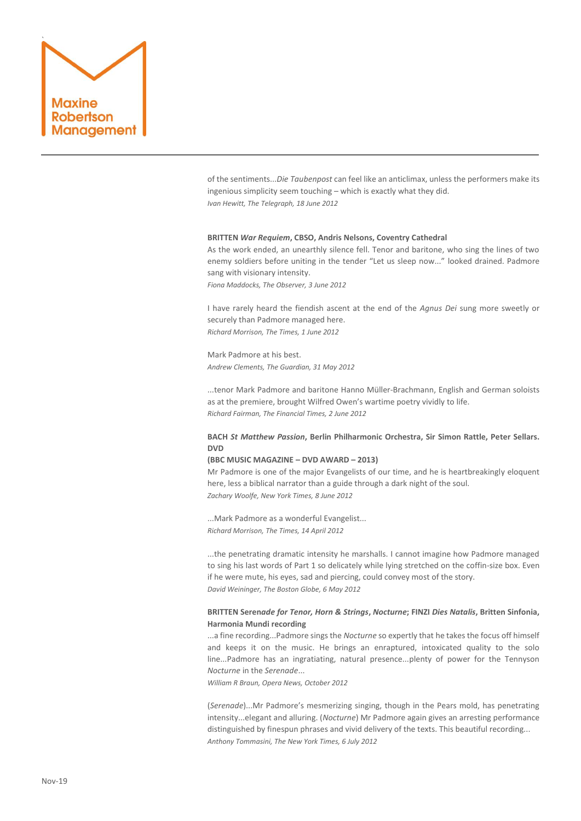

of the sentiments...*Die Taubenpost* can feel like an anticlimax, unless the performers make its ingenious simplicity seem touching – which is exactly what they did. *Ivan Hewitt, The Telegraph, 18 June 2012*

### **BRITTEN** *War Requiem***, CBSO, Andris Nelsons, Coventry Cathedral**

As the work ended, an unearthly silence fell. Tenor and baritone, who sing the lines of two enemy soldiers before uniting in the tender "Let us sleep now..." looked drained. Padmore sang with visionary intensity. *Fiona Maddocks, The Observer, 3 June 2012*

I have rarely heard the fiendish ascent at the end of the *Agnus Dei* sung more sweetly or securely than Padmore managed here. *Richard Morrison, The Times, 1 June 2012*

Mark Padmore at his best. *Andrew Clements, The Guardian, 31 May 2012*

...tenor Mark Padmore and baritone Hanno Müller-Brachmann, English and German soloists as at the premiere, brought Wilfred Owen's wartime poetry vividly to life. *Richard Fairman, The Financial Times, 2 June 2012*

# **BACH** *St Matthew Passion***, Berlin Philharmonic Orchestra, Sir Simon Rattle, Peter Sellars. DVD**

### **(BBC MUSIC MAGAZINE – DVD AWARD – 2013)**

Mr Padmore is one of the major Evangelists of our time, and he is heartbreakingly eloquent here, less a biblical narrator than a guide through a dark night of the soul. *Zachary Woolfe, New York Times, 8 June 2012*

...Mark Padmore as a wonderful Evangelist... *Richard Morrison, The Times, 14 April 2012*

...the penetrating dramatic intensity he marshalls. I cannot imagine how Padmore managed to sing his last words of Part 1 so delicately while lying stretched on the coffin-size box. Even if he were mute, his eyes, sad and piercing, could convey most of the story. *David Weininger, The Boston Globe, 6 May 2012*

# **BRITTEN Seren***ade for Tenor, Horn & Strings***,** *Nocturne***; FINZI** *Dies Natalis***, Britten Sinfonia, Harmonia Mundi recording**

...a fine recording...Padmore sings the *Nocturne* so expertly that he takes the focus off himself and keeps it on the music. He brings an enraptured, intoxicated quality to the solo line...Padmore has an ingratiating, natural presence...plenty of power for the Tennyson *Nocturne* in the *Serenade*...

*William R Braun, Opera News, October 2012*

(*Serenade*)...Mr Padmore's mesmerizing singing, though in the Pears mold, has penetrating intensity...elegant and alluring. (*Nocturne*) Mr Padmore again gives an arresting performance distinguished by finespun phrases and vivid delivery of the texts. This beautiful recording... *Anthony Tommasini, The New York Times, 6 July 2012*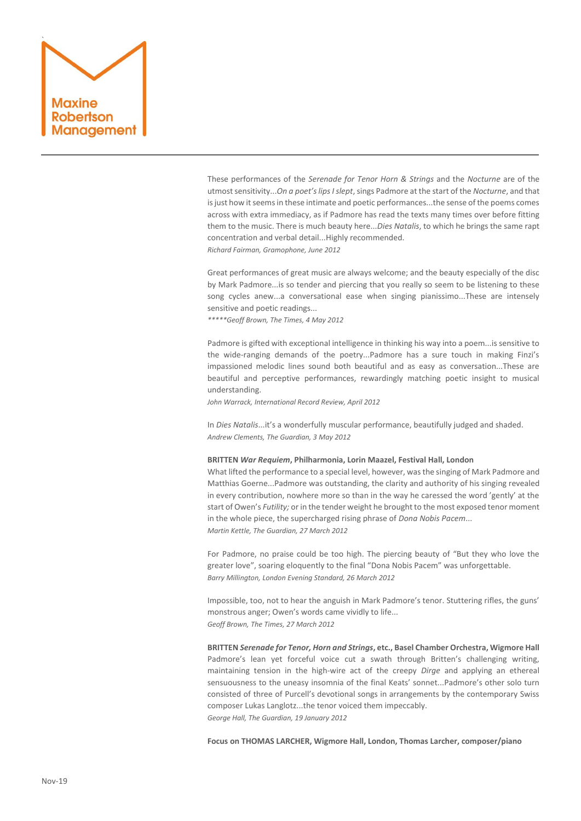# ` Maxine bertson Management

These performances of the *Serenade for Tenor Horn & Strings* and the *Nocturne* are of the utmost sensitivity...*On a poet's lips I slept*, sings Padmore at the start of the *Nocturne*, and that is just how it seems in these intimate and poetic performances...the sense of the poems comes across with extra immediacy, as if Padmore has read the texts many times over before fitting them to the music. There is much beauty here...*Dies Natalis*, to which he brings the same rapt concentration and verbal detail...Highly recommended. *Richard Fairman, Gramophone, June 2012*

Great performances of great music are always welcome; and the beauty especially of the disc by Mark Padmore...is so tender and piercing that you really so seem to be listening to these song cycles anew...a conversational ease when singing pianissimo...These are intensely sensitive and poetic readings...

*\*\*\*\*\*Geoff Brown, The Times, 4 May 2012*

Padmore is gifted with exceptional intelligence in thinking his way into a poem...is sensitive to the wide-ranging demands of the poetry...Padmore has a sure touch in making Finzi's impassioned melodic lines sound both beautiful and as easy as conversation...These are beautiful and perceptive performances, rewardingly matching poetic insight to musical understanding.

*John Warrack, International Record Review, April 2012*

In *Dies Natalis*...it's a wonderfully muscular performance, beautifully judged and shaded. *Andrew Clements, The Guardian, 3 May 2012*

### **BRITTEN** *War Requiem***, Philharmonia, Lorin Maazel, Festival Hall, London**

What lifted the performance to a special level, however, was the singing of Mark Padmore and Matthias Goerne...Padmore was outstanding, the clarity and authority of his singing revealed in every contribution, nowhere more so than in the way he caressed the word 'gently' at the start of Owen's *Futility;* or in the tender weight he brought to the most exposed tenor moment in the whole piece, the supercharged rising phrase of *Dona Nobis Pacem*... *Martin Kettle, The Guardian, 27 March 2012* 

For Padmore, no praise could be too high. The piercing beauty of "But they who love the greater love", soaring eloquently to the final "Dona Nobis Pacem" was unforgettable. *Barry Millington, London Evening Standard, 26 March 2012*

Impossible, too, not to hear the anguish in Mark Padmore's tenor. Stuttering rifles, the guns' monstrous anger; Owen's words came vividly to life... *Geoff Brown, The Times, 27 March 2012*

**BRITTEN** *Serenade for Tenor, Horn and Strings***, etc., Basel Chamber Orchestra, Wigmore Hall** Padmore's lean yet forceful voice cut a swath through Britten's challenging writing, maintaining tension in the high-wire act of the creepy *Dirge* and applying an ethereal sensuousness to the uneasy insomnia of the final Keats' sonnet...Padmore's other solo turn consisted of three of Purcell's devotional songs in arrangements by the contemporary Swiss composer Lukas Langlotz...the tenor voiced them impeccably. *George Hall, The Guardian, 19 January 2012*

**Focus on THOMAS LARCHER, Wigmore Hall, London, Thomas Larcher, composer/piano**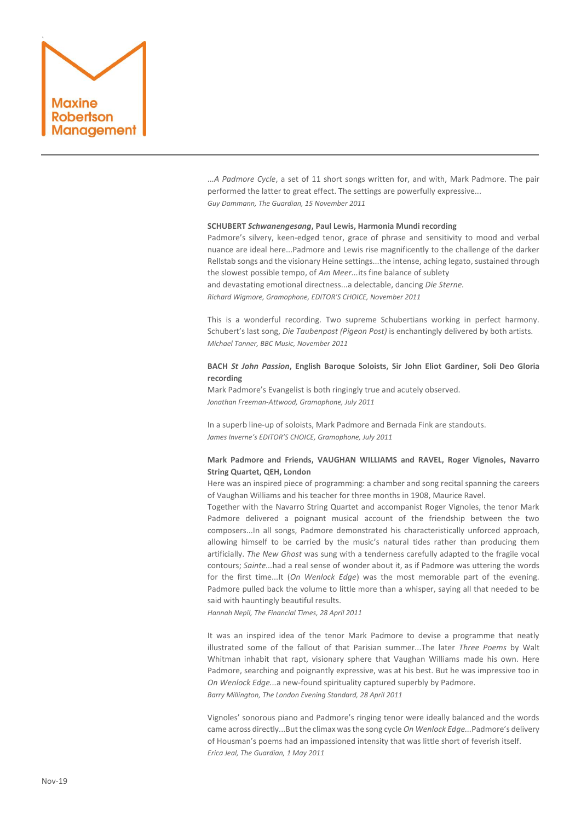

..*.A Padmore Cycle*, a set of 11 short songs written for, and with, Mark Padmore. The pair performed the latter to great effect. The settings are powerfully expressive... *Guy Dammann, The Guardian, 15 November 2011*

### **SCHUBERT** *Schwanengesang***, Paul Lewis, Harmonia Mundi recording**

Padmore's silvery, keen-edged tenor, grace of phrase and sensitivity to mood and verbal nuance are ideal here...Padmore and Lewis rise magnificently to the challenge of the darker Rellstab songs and the visionary Heine settings...the intense, aching legato, sustained through the slowest possible tempo, of *Am Meer...*its fine balance of sublety and devastating emotional directness...a delectable, dancing *Die Sterne. Richard Wigmore, Gramophone, EDITOR'S CHOICE, November 2011*

This is a wonderful recording. Two supreme Schubertians working in perfect harmony. Schubert's last song, *Die Taubenpost (Pigeon Post)* is enchantingly delivered by both artists. *Michael Tanner, BBC Music, November 2011*

# **BACH** *St John Passion***, English Baroque Soloists, Sir John Eliot Gardiner, Soli Deo Gloria recording**

Mark Padmore's Evangelist is both ringingly true and acutely observed. *Jonathan Freeman-Attwood, Gramophone, July 2011*

In a superb line-up of soloists, Mark Padmore and Bernada Fink are standouts. *James Inverne's EDITOR'S CHOICE, Gramophone, July 2011*

# **Mark Padmore and Friends, VAUGHAN WILLIAMS and RAVEL, Roger Vignoles, Navarro String Quartet, QEH, London**

Here was an inspired piece of programming: a chamber and song recital spanning the careers of Vaughan Williams and his teacher for three months in 1908, Maurice Ravel.

Together with the Navarro String Quartet and accompanist Roger Vignoles, the tenor Mark Padmore delivered a poignant musical account of the friendship between the two composers...In all songs, Padmore demonstrated his characteristically unforced approach, allowing himself to be carried by the music's natural tides rather than producing them artificially. *The New Ghost* was sung with a tenderness carefully adapted to the fragile vocal contours; *Sainte...*had a real sense of wonder about it, as if Padmore was uttering the words for the first time...It (*On Wenlock Edge*) was the most memorable part of the evening. Padmore pulled back the volume to little more than a whisper, saying all that needed to be said with hauntingly beautiful results.

*Hannah Nepil, The Financial Times, 28 April 2011*

It was an inspired idea of the tenor Mark Padmore to devise a programme that neatly illustrated some of the fallout of that Parisian summer...The later *Three Poems* by Walt Whitman inhabit that rapt, visionary sphere that Vaughan Williams made his own. Here Padmore, searching and poignantly expressive, was at his best. But he was impressive too in *On Wenlock Edge...*a new-found spirituality captured superbly by Padmore. *Barry Millington, The London Evening Standard, 28 April 2011*

Vignoles' sonorous piano and Padmore's ringing tenor were ideally balanced and the words came across directly...But the climax was the song cycle *On Wenlock Edge...*Padmore's delivery of Housman's poems had an impassioned intensity that was little short of feverish itself. *Erica Jeal, The Guardian, 1 May 2011*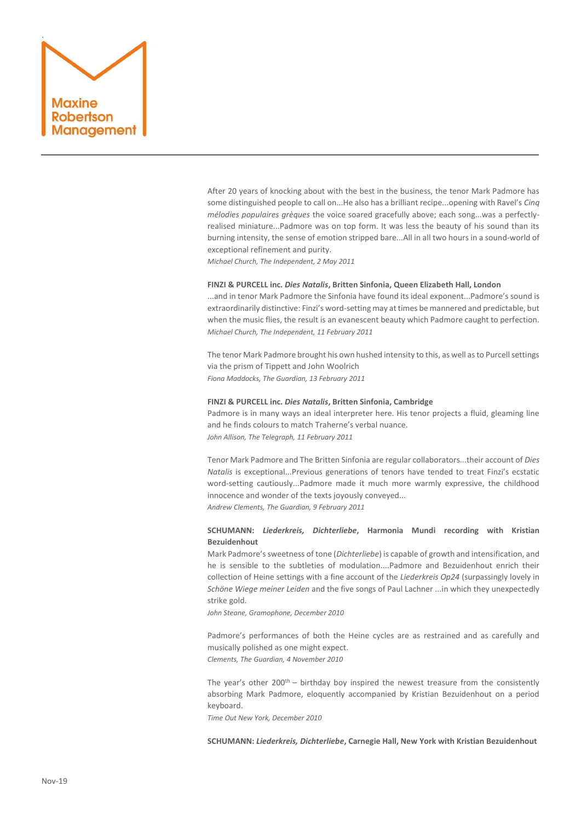

After 20 years of knocking about with the best in the business, the tenor Mark Padmore has some distinguished people to call on...He also has a brilliant recipe...opening with Ravel's *Cinq mélodies populaires grèques* the voice soared gracefully above; each song...was a perfectlyrealised miniature...Padmore was on top form. It was less the beauty of his sound than its burning intensity, the sense of emotion stripped bare...All in all two hours in a sound-world of exceptional refinement and purity.

*Michael Church, The Independent, 2 May 2011*

# **FINZI & PURCELL inc.** *Dies Natalis***, Britten Sinfonia, Queen Elizabeth Hall, London**

...and in tenor Mark Padmore the Sinfonia have found its ideal exponent...Padmore's sound is extraordinarily distinctive: Finzi's word-setting may at times be mannered and predictable, but when the music flies, the result is an evanescent beauty which Padmore caught to perfection. *Michael Church, The Independent, 11 February 2011*

The tenor Mark Padmore brought his own hushed intensity to this, as well as to Purcell settings via the prism of Tippett and John Woolrich *Fiona Maddocks, The Guardian, 13 February 2011*

#### **FINZI & PURCELL inc.** *Dies Natalis***, Britten Sinfonia, Cambridge**

Padmore is in many ways an ideal interpreter here. His tenor projects a fluid, gleaming line and he finds colours to match Traherne's verbal nuance. *John Allison, The Telegraph, 11 February 2011*

Tenor Mark Padmore and The Britten Sinfonia are regular collaborators...their account of *Dies Natalis* is exceptional...Previous generations of tenors have tended to treat Finzi's ecstatic word-setting cautiously...Padmore made it much more warmly expressive, the childhood innocence and wonder of the texts joyously conveyed...

*Andrew Clements, The Guardian, 9 February 2011*

# **SCHUMANN:** *Liederkreis, Dichterliebe***, Harmonia Mundi recording with Kristian Bezuidenhout**

Mark Padmore's sweetness of tone (*Dichterliebe*) is capable of growth and intensification, and he is sensible to the subtleties of modulation....Padmore and Bezuidenhout enrich their collection of Heine settings with a fine account of the *Liederkreis Op24* (surpassingly lovely in *Schöne Wiege meiner Leiden* and the five songs of Paul Lachner ...in which they unexpectedly strike gold.

*John Steane, Gramophone, December 2010*

Padmore's performances of both the Heine cycles are as restrained and as carefully and musically polished as one might expect.

*Clements, The Guardian, 4 November 2010*

The year's other  $200^{th}$  – birthday boy inspired the newest treasure from the consistently absorbing Mark Padmore, eloquently accompanied by Kristian Bezuidenhout on a period keyboard.

*Time Out New York, December 2010*

**SCHUMANN:** *Liederkreis, Dichterliebe***, Carnegie Hall, New York with Kristian Bezuidenhout**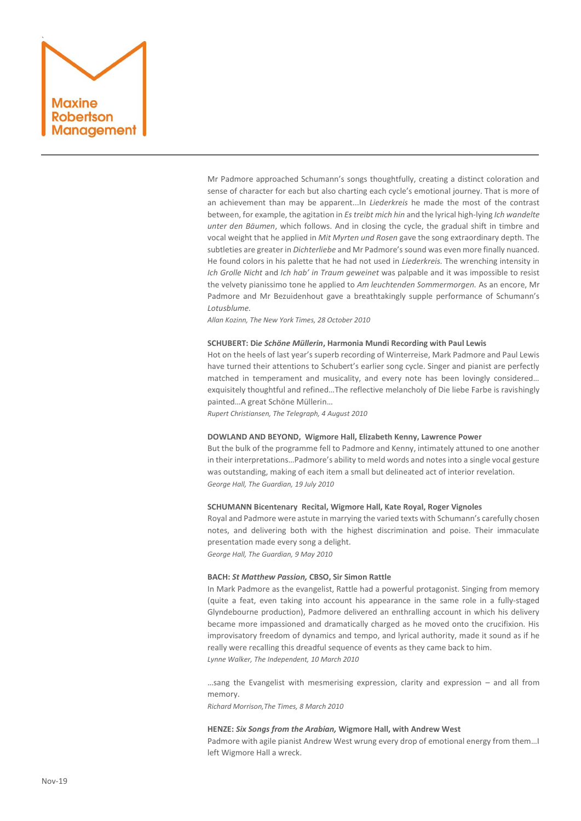# ` Maxine **Robertson** Management

Mr Padmore approached Schumann's songs thoughtfully, creating a distinct coloration and sense of character for each but also charting each cycle's emotional journey. That is more of an achievement than may be apparent...In *Liederkreis* he made the most of the contrast between, for example, the agitation in *Es treibt mich hin* and the lyrical high-lying *Ich wandelte unter den Bäumen*, which follows. And in closing the cycle, the gradual shift in timbre and vocal weight that he applied in *Mit Myrten und Rosen* gave the song extraordinary depth. The subtleties are greater in *Dichterliebe* and Mr Padmore's sound was even more finally nuanced. He found colors in his palette that he had not used in *Liederkreis.* The wrenching intensity in *Ich Grolle Nicht* and *Ich hab' in Traum geweinet* was palpable and it was impossible to resist the velvety pianissimo tone he applied to *Am leuchtenden Sommermorgen.* As an encore, Mr Padmore and Mr Bezuidenhout gave a breathtakingly supple performance of Schumann's *Lotusblume.*

*Allan Kozinn, The New York Times, 28 October 2010* 

### **SCHUBERT: Di***e Schöne Müllerin***, Harmonia Mundi Recording with Paul Lewis**

Hot on the heels of last year's superb recording of Winterreise, Mark Padmore and Paul Lewis have turned their attentions to Schubert's earlier song cycle. Singer and pianist are perfectly matched in temperament and musicality, and every note has been lovingly considered… exquisitely thoughtful and refined…The reflective melancholy of Die liebe Farbe is ravishingly painted…A great Schöne Müllerin…

*Rupert Christiansen, The Telegraph, 4 August 2010*

### **DOWLAND AND BEYOND, Wigmore Hall, Elizabeth Kenny, Lawrence Power**

But the bulk of the programme fell to Padmore and Kenny, intimately attuned to one another in their interpretations…Padmore's ability to meld words and notes into a single vocal gesture was outstanding, making of each item a small but delineated act of interior revelation. *George Hall, The Guardian, 19 July 2010*

### **SCHUMANN Bicentenary Recital, Wigmore Hall, Kate Royal, Roger Vignoles**

Royal and Padmore were astute in marrying the varied texts with Schumann's carefully chosen notes, and delivering both with the highest discrimination and poise. Their immaculate presentation made every song a delight.

*George Hall, The Guardian, 9 May 2010*

### **BACH:** *St Matthew Passion,* **CBSO, Sir Simon Rattle**

In Mark Padmore as the evangelist, Rattle had a powerful protagonist. Singing from memory (quite a feat, even taking into account his appearance in the same role in a fully-staged Glyndebourne production), Padmore delivered an enthralling account in which his delivery became more impassioned and dramatically charged as he moved onto the crucifixion. His improvisatory freedom of dynamics and tempo, and lyrical authority, made it sound as if he really were recalling this dreadful sequence of events as they came back to him. *Lynne Walker, The Independent, 10 March 2010*

…sang the Evangelist with mesmerising expression, clarity and expression – and all from memory.

*Richard Morrison,The Times, 8 March 2010*

### **HENZE:** *Six Songs from the Arabian,* **Wigmore Hall, with Andrew West**

Padmore with agile pianist Andrew West wrung every drop of emotional energy from them…I left Wigmore Hall a wreck.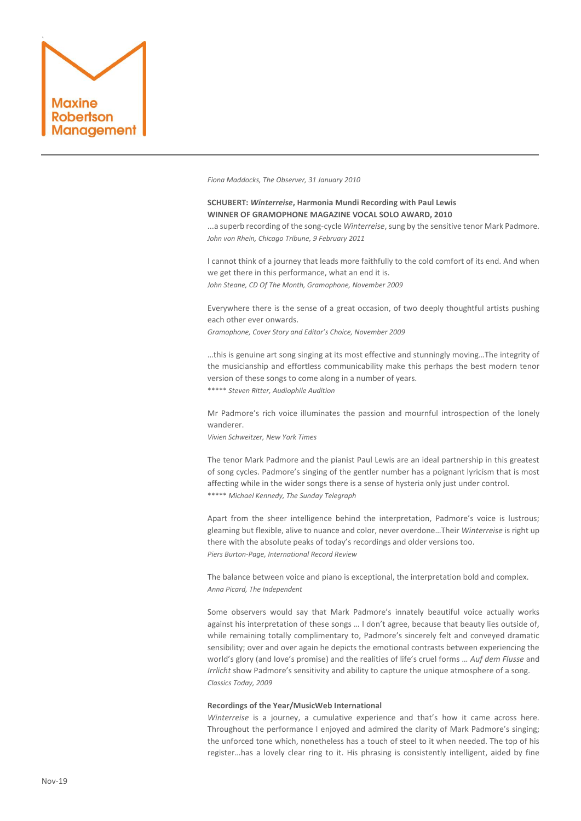

*Fiona Maddocks, The Observer, 31 January 2010*

**SCHUBERT:** *Winterreise***, Harmonia Mundi Recording with Paul Lewis WINNER OF GRAMOPHONE MAGAZINE VOCAL SOLO AWARD, 2010** ...a superb recording of the song-cycle *Winterreise*, sung by the sensitive tenor Mark Padmore. *John von Rhein, Chicago Tribune, 9 February 2011*

I cannot think of a journey that leads more faithfully to the cold comfort of its end. And when we get there in this performance, what an end it is. *John Steane, CD Of The Month, Gramophone, November 2009* 

Everywhere there is the sense of a great occasion, of two deeply thoughtful artists pushing each other ever onwards.

*Gramophone, Cover Story and Editor's Choice, November 2009*

…this is genuine art song singing at its most effective and stunningly moving…The integrity of the musicianship and effortless communicability make this perhaps the best modern tenor version of these songs to come along in a number of years. \*\*\*\*\* *Steven Ritter, Audiophile Audition*

Mr Padmore's rich voice illuminates the passion and mournful introspection of the lonely wanderer.

*Vivien Schweitzer, New York Times*

The tenor Mark Padmore and the pianist Paul Lewis are an ideal partnership in this greatest of song cycles. Padmore's singing of the gentler number has a poignant lyricism that is most affecting while in the wider songs there is a sense of hysteria only just under control. \*\*\*\*\* *Michael Kennedy, The Sunday Telegraph*

Apart from the sheer intelligence behind the interpretation, Padmore's voice is lustrous; gleaming but flexible, alive to nuance and color, never overdone…Their *Winterreise* is right up there with the absolute peaks of today's recordings and older versions too. *Piers Burton-Page, International Record Review*

The balance between voice and piano is exceptional, the interpretation bold and complex. *Anna Picard, The Independent*

Some observers would say that Mark Padmore's innately beautiful voice actually works against his interpretation of these songs … I don't agree, because that beauty lies outside of, while remaining totally complimentary to, Padmore's sincerely felt and conveyed dramatic sensibility; over and over again he depicts the emotional contrasts between experiencing the world's glory (and love's promise) and the realities of life's cruel forms … *Auf dem Flusse* and *Irrlicht* show Padmore's sensitivity and ability to capture the unique atmosphere of a song. *Classics Today, 2009*

### **Recordings of the Year/MusicWeb International**

*Winterreise* is a journey, a cumulative experience and that's how it came across here. Throughout the performance I enjoyed and admired the clarity of Mark Padmore's singing; the unforced tone which, nonetheless has a touch of steel to it when needed. The top of his register…has a lovely clear ring to it. His phrasing is consistently intelligent, aided by fine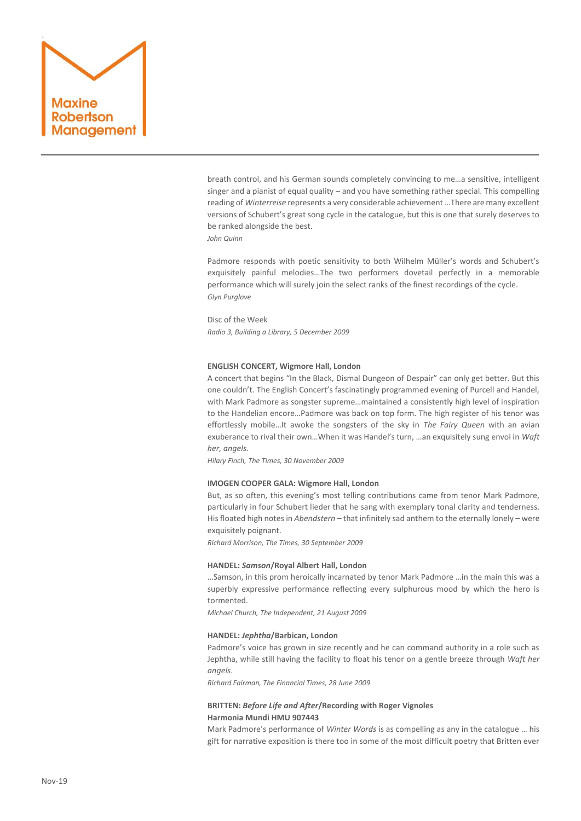

breath control, and his German sounds completely convincing to me…a sensitive, intelligent singer and a pianist of equal quality – and you have something rather special. This compelling reading of *Winterreise* represents a very considerable achievement …There are many excellent versions of Schubert's great song cycle in the catalogue, but this is one that surely deserves to be ranked alongside the best.

*John Quinn*

Padmore responds with poetic sensitivity to both Wilhelm Müller's words and Schubert's exquisitely painful melodies…The two performers dovetail perfectly in a memorable performance which will surely join the select ranks of the finest recordings of the cycle. *Glyn Purglove*

Disc of the Week *Radio 3, Building a Library, 5 December 2009*

# **ENGLISH CONCERT, Wigmore Hall, London**

A concert that begins "In the Black, Dismal Dungeon of Despair" can only get better. But this one couldn't. The English Concert's fascinatingly programmed evening of Purcell and Handel, with Mark Padmore as songster supreme…maintained a consistently high level of inspiration to the Handelian encore…Padmore was back on top form. The high register of his tenor was effortlessly mobile…It awoke the songsters of the sky in *The Fairy Queen* with an avian exuberance to rival their own…When it was Handel's turn, …an exquisitely sung envoi in *Waft her, angels.*

*Hilary Finch, The Times, 30 November 2009*

### **IMOGEN COOPER GALA: Wigmore Hall, London**

But, as so often, this evening's most telling contributions came from tenor Mark Padmore, particularly in four Schubert lieder that he sang with exemplary tonal clarity and tenderness. His floated high notes in *Abendstern* – that infinitely sad anthem to the eternally lonely – were exquisitely poignant.

*Richard Morrison, The Times, 30 September 2009*

### **HANDEL:** *Samson***/Royal Albert Hall, London**

…Samson, in this prom heroically incarnated by tenor Mark Padmore …in the main this was a superbly expressive performance reflecting every sulphurous mood by which the hero is tormented.

*Michael Church, The Independent, 21 August 2009*

# **HANDEL:** *Jephtha***/Barbican, London**

Padmore's voice has grown in size recently and he can command authority in a role such as Jephtha, while still having the facility to float his tenor on a gentle breeze through *Waft her angels*.

*Richard Fairman, The Financial Times, 28 June 2009*

# **BRITTEN:** *Before Life and After***/Recording with Roger Vignoles Harmonia Mundi HMU 907443**

Mark Padmore's performance of *Winter Words* is as compelling as any in the catalogue … his gift for narrative exposition is there too in some of the most difficult poetry that Britten ever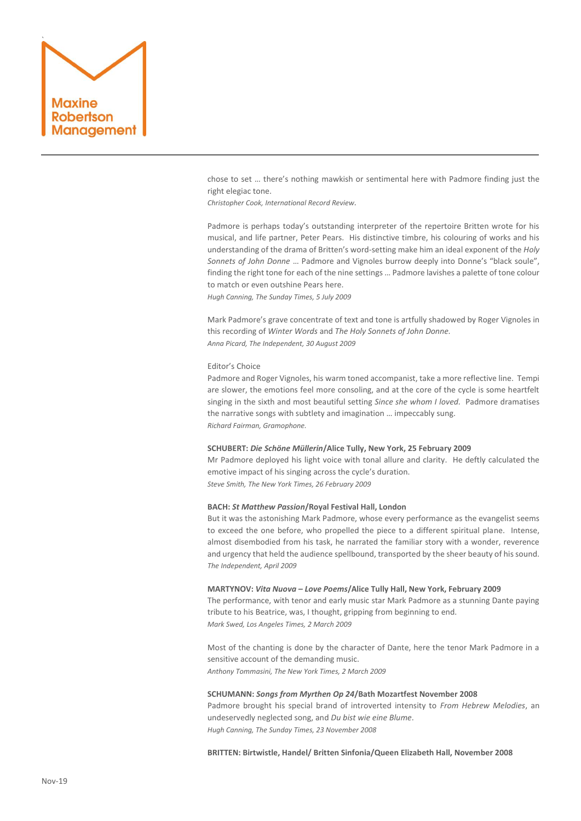

chose to set … there's nothing mawkish or sentimental here with Padmore finding just the right elegiac tone.

*Christopher Cook, International Record Review.*

Padmore is perhaps today's outstanding interpreter of the repertoire Britten wrote for his musical, and life partner, Peter Pears. His distinctive timbre, his colouring of works and his understanding of the drama of Britten's word-setting make him an ideal exponent of the *Holy Sonnets of John Donne* … Padmore and Vignoles burrow deeply into Donne's "black soule", finding the right tone for each of the nine settings … Padmore lavishes a palette of tone colour to match or even outshine Pears here.

*Hugh Canning, The Sunday Times, 5 July 2009*

Mark Padmore's grave concentrate of text and tone is artfully shadowed by Roger Vignoles in this recording of *Winter Words* and *The Holy Sonnets of John Donne. Anna Picard, The Independent, 30 August 2009*

### Editor's Choice

Padmore and Roger Vignoles, his warm toned accompanist, take a more reflective line. Tempi are slower, the emotions feel more consoling, and at the core of the cycle is some heartfelt singing in the sixth and most beautiful setting *Since she whom I loved.* Padmore dramatises the narrative songs with subtlety and imagination … impeccably sung. *Richard Fairman, Gramophone.*

### **SCHUBERT:** *Die Schöne Müllerin***/Alice Tully, New York, 25 February 2009**

Mr Padmore deployed his light voice with tonal allure and clarity. He deftly calculated the emotive impact of his singing across the cycle's duration. *Steve Smith, The New York Times, 26 February 2009*

# **BACH:** *St Matthew Passion***/Royal Festival Hall, London**

But it was the astonishing Mark Padmore, whose every performance as the evangelist seems to exceed the one before, who propelled the piece to a different spiritual plane. Intense, almost disembodied from his task, he narrated the familiar story with a wonder, reverence and urgency that held the audience spellbound, transported by the sheer beauty of his sound. *The Independent, April 2009*

### **MARTYNOV:** *Vita Nuova – Love Poems***/Alice Tully Hall, New York, February 2009**

The performance, with tenor and early music star Mark Padmore as a stunning Dante paying tribute to his Beatrice, was, I thought, gripping from beginning to end. *Mark Swed, Los Angeles Times, 2 March 2009*

Most of the chanting is done by the character of Dante, here the tenor Mark Padmore in a sensitive account of the demanding music. *Anthony Tommasini, The New York Times, 2 March 2009*

### **SCHUMANN:** *Songs from Myrthen Op 24***/Bath Mozartfest November 2008**

Padmore brought his special brand of introverted intensity to *From Hebrew Melodies*, an undeservedly neglected song, and *Du bist wie eine Blume*. *Hugh Canning, The Sunday Times, 23 November 2008*

**BRITTEN: Birtwistle, Handel/ Britten Sinfonia/Queen Elizabeth Hall, November 2008**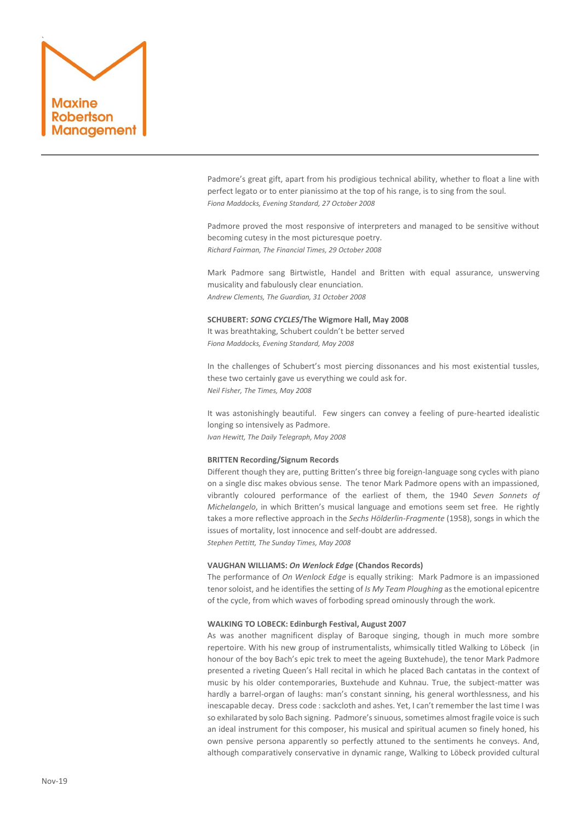# ` Maxine Robertson Management

Padmore's great gift, apart from his prodigious technical ability, whether to float a line with perfect legato or to enter pianissimo at the top of his range, is to sing from the soul. *Fiona Maddocks, Evening Standard, 27 October 2008*

Padmore proved the most responsive of interpreters and managed to be sensitive without becoming cutesy in the most picturesque poetry. *Richard Fairman, The Financial Times, 29 October 2008*

Mark Padmore sang Birtwistle, Handel and Britten with equal assurance, unswerving musicality and fabulously clear enunciation. *Andrew Clements, The Guardian, 31 October 2008*

### **SCHUBERT:** *SONG CYCLES***/The Wigmore Hall, May 2008**

It was breathtaking, Schubert couldn't be better served *Fiona Maddocks, Evening Standard, May 2008*

In the challenges of Schubert's most piercing dissonances and his most existential tussles, these two certainly gave us everything we could ask for. *Neil Fisher, The Times, May 2008*

It was astonishingly beautiful. Few singers can convey a feeling of pure-hearted idealistic longing so intensively as Padmore. *Ivan Hewitt, The Daily Telegraph, May 2008*

### **BRITTEN Recording/Signum Records**

Different though they are, putting Britten's three big foreign-language song cycles with piano on a single disc makes obvious sense. The tenor Mark Padmore opens with an impassioned, vibrantly coloured performance of the earliest of them, the 1940 *Seven Sonnets of Michelangelo*, in which Britten's musical language and emotions seem set free. He rightly takes a more reflective approach in the *Sechs Hölderlin-Fragmente* (1958), songs in which the issues of mortality, lost innocence and self-doubt are addressed. *Stephen Pettitt, The Sunday Times, May 2008*

# **VAUGHAN WILLIAMS:** *On Wenlock Edge* **(Chandos Records)**

The performance of *On Wenlock Edge* is equally striking: Mark Padmore is an impassioned tenor soloist, and he identifies the setting of *Is My Team Ploughing* as the emotional epicentre of the cycle, from which waves of forboding spread ominously through the work.

### **WALKING TO LOBECK: Edinburgh Festival, August 2007**

As was another magnificent display of Baroque singing, though in much more sombre repertoire. With his new group of instrumentalists, whimsically titled Walking to Löbeck (in honour of the boy Bach's epic trek to meet the ageing Buxtehude), the tenor Mark Padmore presented a riveting Queen's Hall recital in which he placed Bach cantatas in the context of music by his older contemporaries, Buxtehude and Kuhnau. True, the subject-matter was hardly a barrel-organ of laughs: man's constant sinning, his general worthlessness, and his inescapable decay. Dress code : sackcloth and ashes. Yet, I can't remember the last time I was so exhilarated by solo Bach signing. Padmore's sinuous, sometimes almost fragile voice is such an ideal instrument for this composer, his musical and spiritual acumen so finely honed, his own pensive persona apparently so perfectly attuned to the sentiments he conveys. And, although comparatively conservative in dynamic range, Walking to Löbeck provided cultural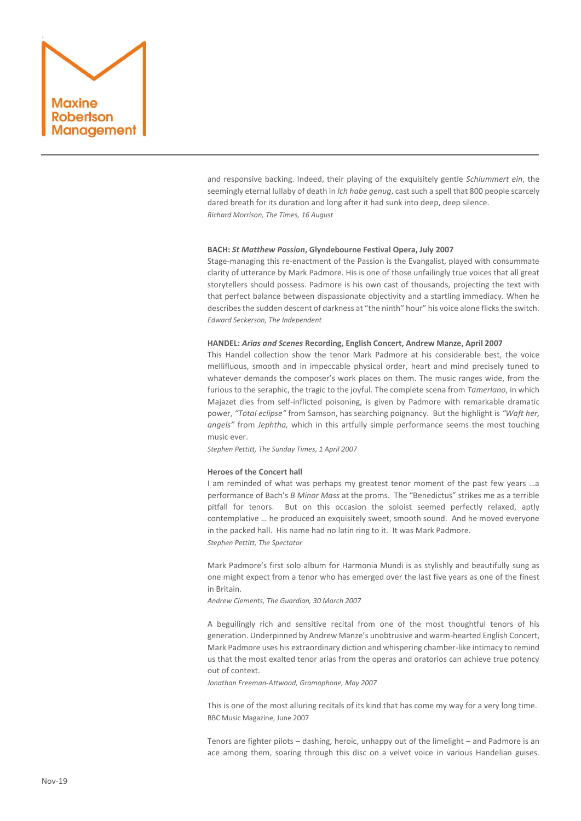

and responsive backing. Indeed, their playing of the exquisitely gentle *Schlummert ein*, the seemingly eternal lullaby of death in *Ich habe genug*, cast such a spell that 800 people scarcely dared breath for its duration and long after it had sunk into deep, deep silence. *Richard Morrison, The Times, 16 August*

# **BACH:** *St Matthew Passion***, Glyndebourne Festival Opera, July 2007**

Stage-managing this re-enactment of the Passion is the Evangalist, played with consummate clarity of utterance by Mark Padmore. His is one of those unfailingly true voices that all great storytellers should possess. Padmore is his own cast of thousands, projecting the text with that perfect balance between dispassionate objectivity and a startling immediacy. When he describes the sudden descent of darkness at "the ninth" hour" his voice alone flicks the switch. *Edward Seckerson, The Independent*

### **HANDEL:** *Arias and Scenes* **Recording, English Concert, Andrew Manze, April 2007**

This Handel collection show the tenor Mark Padmore at his considerable best, the voice mellifluous, smooth and in impeccable physical order, heart and mind precisely tuned to whatever demands the composer's work places on them. The music ranges wide, from the furious to the seraphic, the tragic to the joyful. The complete scena from *Tamerlano*, in which Majazet dies from self-inflicted poisoning, is given by Padmore with remarkable dramatic power, *"Total eclipse"* from Samson, has searching poignancy. But the highlight is *"Waft her, angels"* from *Jephtha,* which in this artfully simple performance seems the most touching music ever.

*Stephen Pettitt, The Sunday Times, 1 April 2007*

### **Heroes of the Concert hall**

I am reminded of what was perhaps my greatest tenor moment of the past few years …a performance of Bach's *B Minor Mass* at the proms. The "Benedictus" strikes me as a terrible pitfall for tenors. But on this occasion the soloist seemed perfectly relaxed, aptly contemplative … he produced an exquisitely sweet, smooth sound. And he moved everyone in the packed hall. His name had no latin ring to it. It was Mark Padmore. *Stephen Pettitt, The Spectator*

Mark Padmore's first solo album for Harmonia Mundi is as stylishly and beautifully sung as one might expect from a tenor who has emerged over the last five years as one of the finest in Britain.

*Andrew Clements, The Guardian, 30 March 2007*

A beguilingly rich and sensitive recital from one of the most thoughtful tenors of his generation. Underpinned by Andrew Manze's unobtrusive and warm-hearted English Concert, Mark Padmore uses his extraordinary diction and whispering chamber-like intimacy to remind us that the most exalted tenor arias from the operas and oratorios can achieve true potency out of context.

*Jonathan Freeman-Attwood, Gramophone, May 2007*

This is one of the most alluring recitals of its kind that has come my way for a very long time. BBC Music Magazine, June 2007

Tenors are fighter pilots – dashing, heroic, unhappy out of the limelight – and Padmore is an ace among them, soaring through this disc on a velvet voice in various Handelian guises.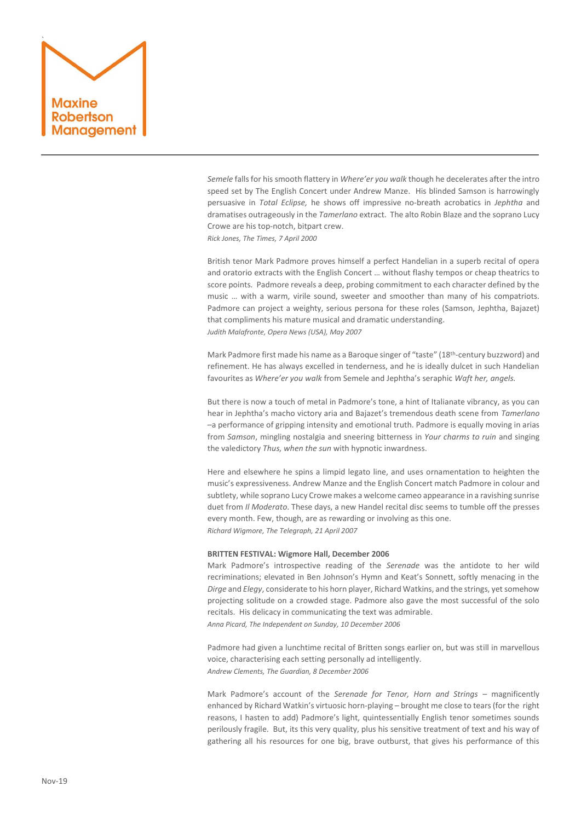

*Semele* falls for his smooth flattery in *Where'er you walk* though he decelerates after the intro speed set by The English Concert under Andrew Manze. His blinded Samson is harrowingly persuasive in *Total Eclipse,* he shows off impressive no-breath acrobatics in *Jephtha* and dramatises outrageously in the *Tamerlano* extract. The alto Robin Blaze and the soprano Lucy Crowe are his top-notch, bitpart crew.

*Rick Jones, The Times, 7 April 2000*

British tenor Mark Padmore proves himself a perfect Handelian in a superb recital of opera and oratorio extracts with the English Concert … without flashy tempos or cheap theatrics to score points. Padmore reveals a deep, probing commitment to each character defined by the music … with a warm, virile sound, sweeter and smoother than many of his compatriots. Padmore can project a weighty, serious persona for these roles (Samson, Jephtha, Bajazet) that compliments his mature musical and dramatic understanding. *Judith Malafronte, Opera News (USA), May 2007*

Mark Padmore first made his name as a Baroque singer of "taste" (18th -century buzzword) and refinement. He has always excelled in tenderness, and he is ideally dulcet in such Handelian favourites as *Where'er you walk* from Semele and Jephtha's seraphic *Waft her, angels.*

But there is now a touch of metal in Padmore's tone, a hint of Italianate vibrancy, as you can hear in Jephtha's macho victory aria and Bajazet's tremendous death scene from *Tamerlano* –a performance of gripping intensity and emotional truth. Padmore is equally moving in arias from *Samson*, mingling nostalgia and sneering bitterness in *Your charms to ruin* and singing the valedictory *Thus, when the sun* with hypnotic inwardness.

Here and elsewhere he spins a limpid legato line, and uses ornamentation to heighten the music's expressiveness. Andrew Manze and the English Concert match Padmore in colour and subtlety, while soprano Lucy Crowe makes a welcome cameo appearance in a ravishing sunrise duet from *Il Moderato*. These days, a new Handel recital disc seems to tumble off the presses every month. Few, though, are as rewarding or involving as this one. *Richard Wigmore, The Telegraph, 21 April 2007*

### **BRITTEN FESTIVAL: Wigmore Hall, December 2006**

Mark Padmore's introspective reading of the *Serenade* was the antidote to her wild recriminations; elevated in Ben Johnson's Hymn and Keat's Sonnett, softly menacing in the *Dirge* and *Elegy*, considerate to his horn player, Richard Watkins, and the strings, yet somehow projecting solitude on a crowded stage. Padmore also gave the most successful of the solo recitals. His delicacy in communicating the text was admirable.

*Anna Picard, The Independent on Sunday, 10 December 2006*

Padmore had given a lunchtime recital of Britten songs earlier on, but was still in marvellous voice, characterising each setting personally ad intelligently. *Andrew Clements, The Guardian, 8 December 2006*

Mark Padmore's account of the *Serenade for Tenor, Horn and Strings* – magnificently enhanced by Richard Watkin's virtuosic horn-playing – brought me close to tears (for the right reasons, I hasten to add) Padmore's light, quintessentially English tenor sometimes sounds perilously fragile. But, its this very quality, plus his sensitive treatment of text and his way of gathering all his resources for one big, brave outburst, that gives his performance of this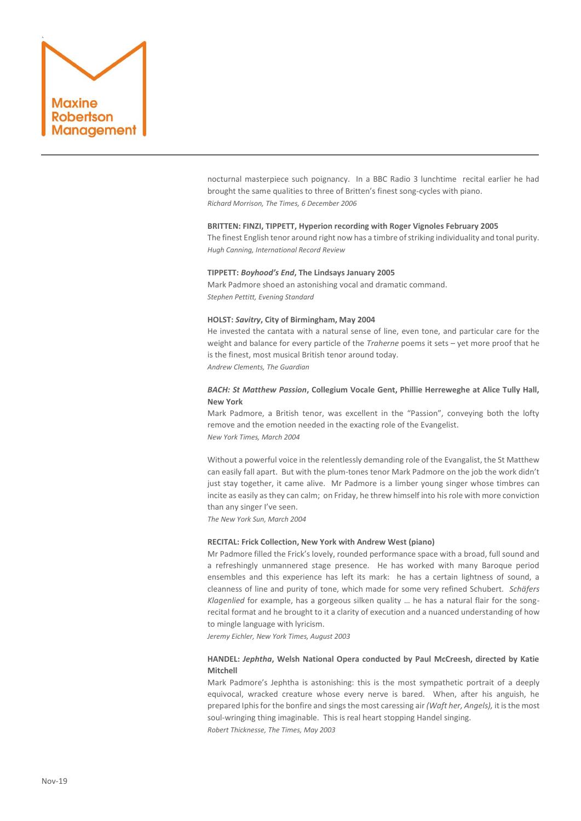

nocturnal masterpiece such poignancy. In a BBC Radio 3 lunchtime recital earlier he had brought the same qualities to three of Britten's finest song-cycles with piano. *Richard Morrison, The Times, 6 December 2006*

### **BRITTEN: FINZI, TIPPETT, Hyperion recording with Roger Vignoles February 2005**

The finest English tenor around right now has a timbre of striking individuality and tonal purity. *Hugh Canning, International Record Review*

### **TIPPETT:** *Boyhood's End***, The Lindsays January 2005**

Mark Padmore shoed an astonishing vocal and dramatic command. *Stephen Pettitt, Evening Standard*

### **HOLST:** *Savitry***, City of Birmingham, May 2004**

He invested the cantata with a natural sense of line, even tone, and particular care for the weight and balance for every particle of the *Traherne* poems it sets – yet more proof that he is the finest, most musical British tenor around today.

*Andrew Clements, The Guardian*

# *BACH: St Matthew Passion***, Collegium Vocale Gent, Phillie Herreweghe at Alice Tully Hall, New York**

Mark Padmore, a British tenor, was excellent in the "Passion", conveying both the lofty remove and the emotion needed in the exacting role of the Evangelist. *New York Times, March 2004*

incite as easily as they can calm; on Friday, he threw himself into his role with more conviction

Without a powerful voice in the relentlessly demanding role of the Evangalist, the St Matthew can easily fall apart. But with the plum-tones tenor Mark Padmore on the job the work didn't just stay together, it came alive. Mr Padmore is a limber young singer whose timbres can

than any singer I've seen. *The New York Sun, March 2004*

### **RECITAL: Frick Collection, New York with Andrew West (piano)**

Mr Padmore filled the Frick's lovely, rounded performance space with a broad, full sound and a refreshingly unmannered stage presence. He has worked with many Baroque period ensembles and this experience has left its mark: he has a certain lightness of sound, a cleanness of line and purity of tone, which made for some very refined Schubert. *Schäfers Klagenlied* for example, has a gorgeous silken quality … he has a natural flair for the songrecital format and he brought to it a clarity of execution and a nuanced understanding of how to mingle language with lyricism.

*Jeremy Eichler, New York Times, August 2003*

# **HANDEL:** *Jephtha***, Welsh National Opera conducted by Paul McCreesh, directed by Katie Mitchell**

Mark Padmore's Jephtha is astonishing: this is the most sympathetic portrait of a deeply equivocal, wracked creature whose every nerve is bared. When, after his anguish, he prepared Iphis for the bonfire and sings the most caressing air *(Waft her, Angels),* it is the most soul-wringing thing imaginable. This is real heart stopping Handel singing. *Robert Thicknesse, The Times, May 2003*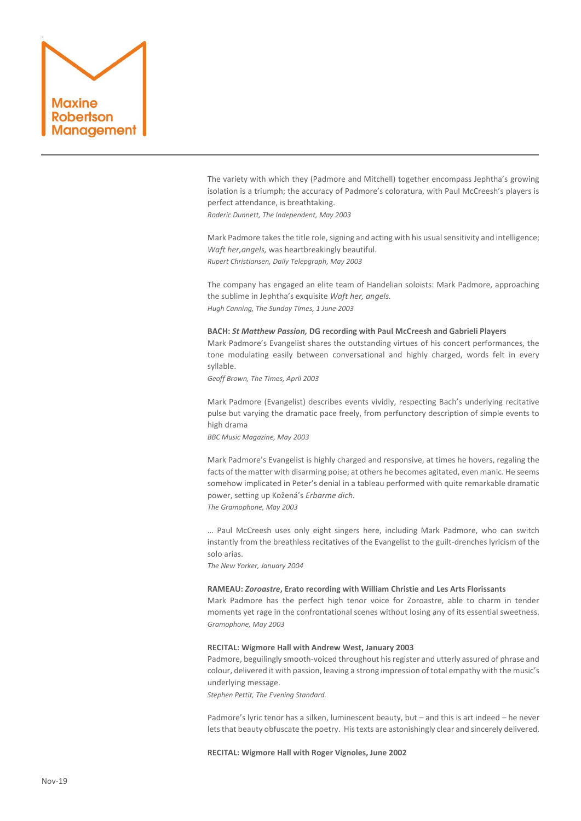

The variety with which they (Padmore and Mitchell) together encompass Jephtha's growing isolation is a triumph; the accuracy of Padmore's coloratura, with Paul McCreesh's players is perfect attendance, is breathtaking.

*Roderic Dunnett, The Independent, May 2003*

Mark Padmore takes the title role, signing and acting with his usual sensitivity and intelligence; *Waft her,angels,* was heartbreakingly beautiful. *Rupert Christiansen, Daily Telepgraph, May 2003*

The company has engaged an elite team of Handelian soloists: Mark Padmore, approaching the sublime in Jephtha's exquisite *Waft her, angels. Hugh Canning, The Sunday Times, 1 June 2003*

# **BACH:** *St Matthew Passion,* **DG recording with Paul McCreesh and Gabrieli Players**

Mark Padmore's Evangelist shares the outstanding virtues of his concert performances, the tone modulating easily between conversational and highly charged, words felt in every syllable.

*Geoff Brown, The Times, April 2003*

Mark Padmore (Evangelist) describes events vividly, respecting Bach's underlying recitative pulse but varying the dramatic pace freely, from perfunctory description of simple events to high drama

*BBC Music Magazine, May 2003*

Mark Padmore's Evangelist is highly charged and responsive, at times he hovers, regaling the facts of the matter with disarming poise; at others he becomes agitated, even manic. He seems somehow implicated in Peter's denial in a tableau performed with quite remarkable dramatic power, setting up Kožená's *Erbarme dich.*

*The Gramophone, May 2003*

… Paul McCreesh uses only eight singers here, including Mark Padmore, who can switch instantly from the breathless recitatives of the Evangelist to the guilt-drenches lyricism of the solo arias.

*The New Yorker, January 2004*

### **RAMEAU:** *Zoroastre***, Erato recording with William Christie and Les Arts Florissants**

Mark Padmore has the perfect high tenor voice for Zoroastre, able to charm in tender moments yet rage in the confrontational scenes without losing any of its essential sweetness. *Gramophone, May 2003*

# **RECITAL: Wigmore Hall with Andrew West, January 2003**

Padmore, beguilingly smooth-voiced throughout his register and utterly assured of phrase and colour, delivered it with passion, leaving a strong impression of total empathy with the music's underlying message.

*Stephen Pettit, The Evening Standard.*

Padmore's lyric tenor has a silken, luminescent beauty, but – and this is art indeed – he never lets that beauty obfuscate the poetry. His texts are astonishingly clear and sincerely delivered.

# **RECITAL: Wigmore Hall with Roger Vignoles, June 2002**